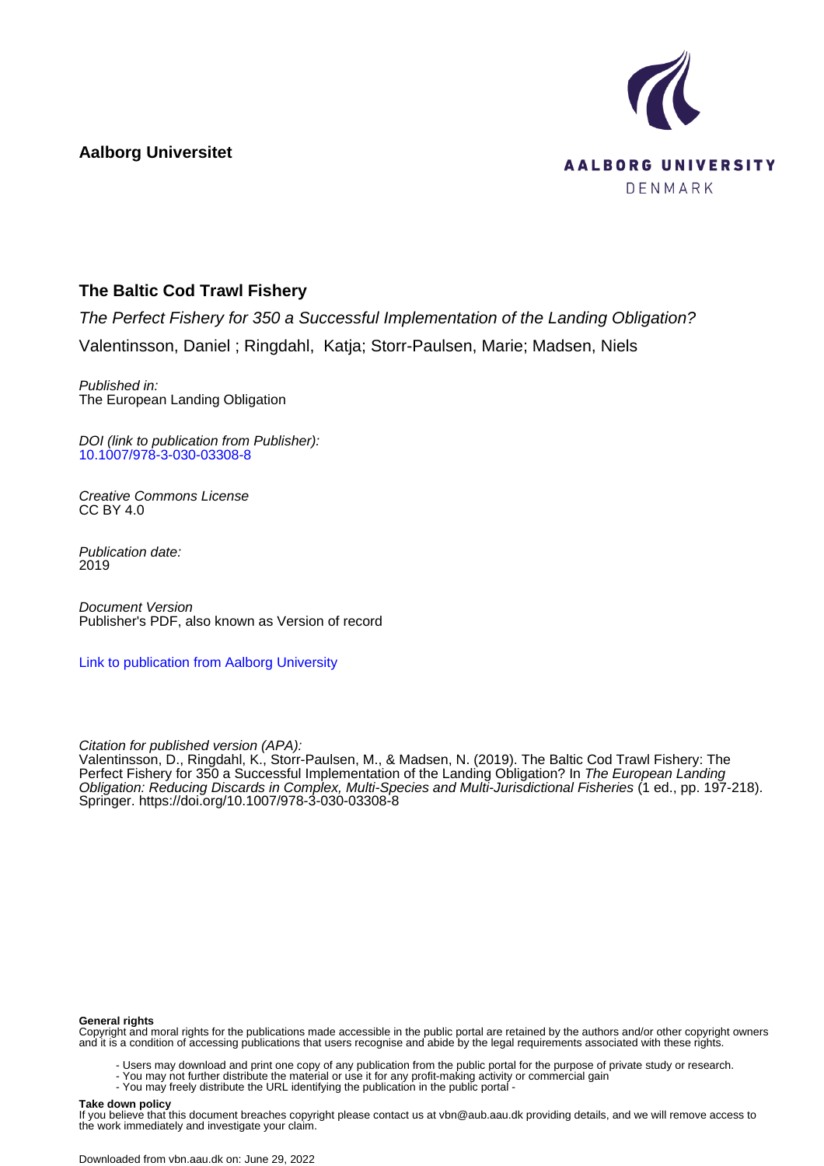**Aalborg Universitet**



# **The Baltic Cod Trawl Fishery**

The Perfect Fishery for 350 a Successful Implementation of the Landing Obligation? Valentinsson, Daniel ; Ringdahl, Katja; Storr-Paulsen, Marie; Madsen, Niels

Published in: The European Landing Obligation

DOI (link to publication from Publisher): [10.1007/978-3-030-03308-8](https://doi.org/10.1007/978-3-030-03308-8)

Creative Commons License CC BY 4.0

Publication date: 2019

Document Version Publisher's PDF, also known as Version of record

[Link to publication from Aalborg University](https://vbn.aau.dk/en/publications/fa90a150-86a7-4a73-8940-ce3b95894ef9)

Citation for published version (APA):

Valentinsson, D., Ringdahl, K., Storr-Paulsen, M., & Madsen, N. (2019). The Baltic Cod Trawl Fishery: The Perfect Fishery for 350 a Successful Implementation of the Landing Obligation? In The European Landing Obligation: Reducing Discards in Complex, Multi-Species and Multi-Jurisdictional Fisheries (1 ed., pp. 197-218). Springer.<https://doi.org/10.1007/978-3-030-03308-8>

#### **General rights**

Copyright and moral rights for the publications made accessible in the public portal are retained by the authors and/or other copyright owners and it is a condition of accessing publications that users recognise and abide by the legal requirements associated with these rights.

- Users may download and print one copy of any publication from the public portal for the purpose of private study or research.
- You may not further distribute the material or use it for any profit-making activity or commercial gain
	- You may freely distribute the URL identifying the publication in the public portal -

#### **Take down policy**

If you believe that this document breaches copyright please contact us at vbn@aub.aau.dk providing details, and we will remove access to the work immediately and investigate your claim.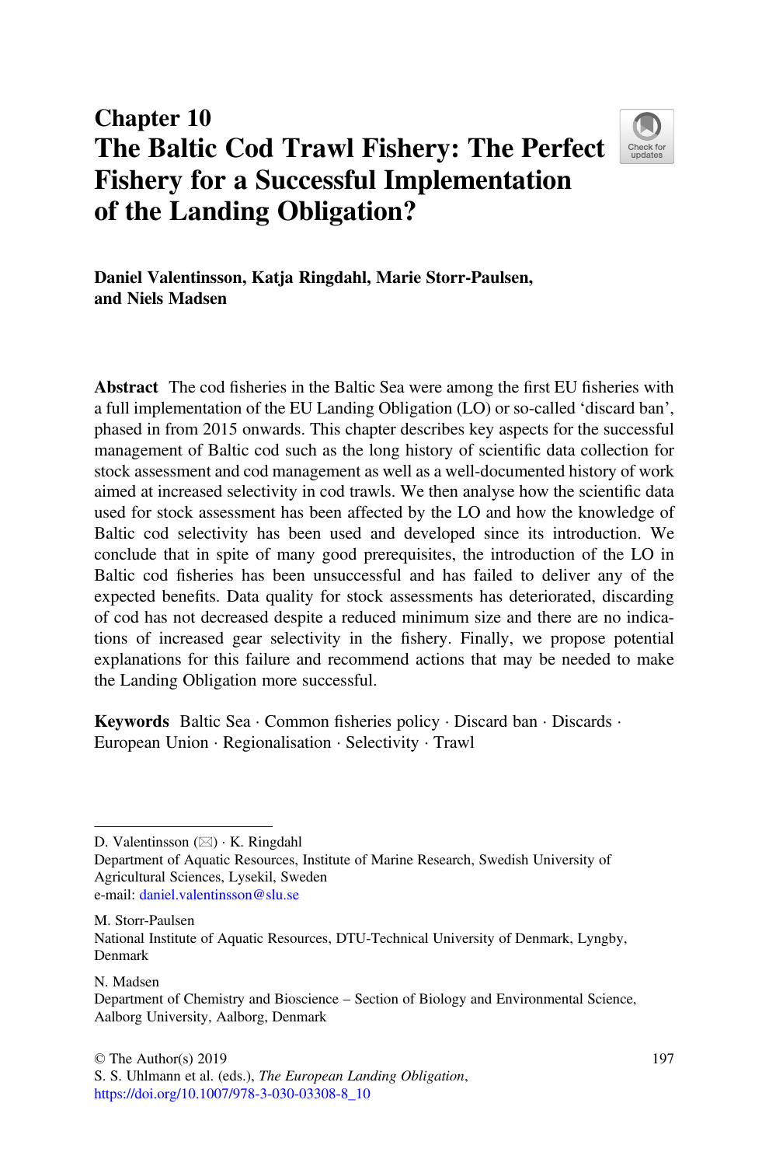# Chapter 10 The Baltic Cod Trawl Fishery: The Perfect Fishery for a Successful Implementation of the Landing Obligation?



Daniel Valentinsson, Katja Ringdahl, Marie Storr-Paulsen, and Niels Madsen

Abstract The cod fisheries in the Baltic Sea were among the first EU fisheries with a full implementation of the EU Landing Obligation (LO) or so-called 'discard ban', phased in from 2015 onwards. This chapter describes key aspects for the successful management of Baltic cod such as the long history of scientific data collection for stock assessment and cod management as well as a well-documented history of work aimed at increased selectivity in cod trawls. We then analyse how the scientific data used for stock assessment has been affected by the LO and how the knowledge of Baltic cod selectivity has been used and developed since its introduction. We conclude that in spite of many good prerequisites, the introduction of the LO in Baltic cod fisheries has been unsuccessful and has failed to deliver any of the expected benefits. Data quality for stock assessments has deteriorated, discarding of cod has not decreased despite a reduced minimum size and there are no indications of increased gear selectivity in the fishery. Finally, we propose potential explanations for this failure and recommend actions that may be needed to make the Landing Obligation more successful.

Keywords Baltic Sea · Common fisheries policy · Discard ban · Discards · European Union · Regionalisation · Selectivity · Trawl

D. Valentinsson  $(\boxtimes) \cdot K$ . Ringdahl

Department of Aquatic Resources, Institute of Marine Research, Swedish University of Agricultural Sciences, Lysekil, Sweden e-mail: [daniel.valentinsson@slu.se](mailto:daniel.valentinsson@slu.se)

M. Storr-Paulsen

National Institute of Aquatic Resources, DTU-Technical University of Denmark, Lyngby, Denmark

N. Madsen

Department of Chemistry and Bioscience – Section of Biology and Environmental Science, Aalborg University, Aalborg, Denmark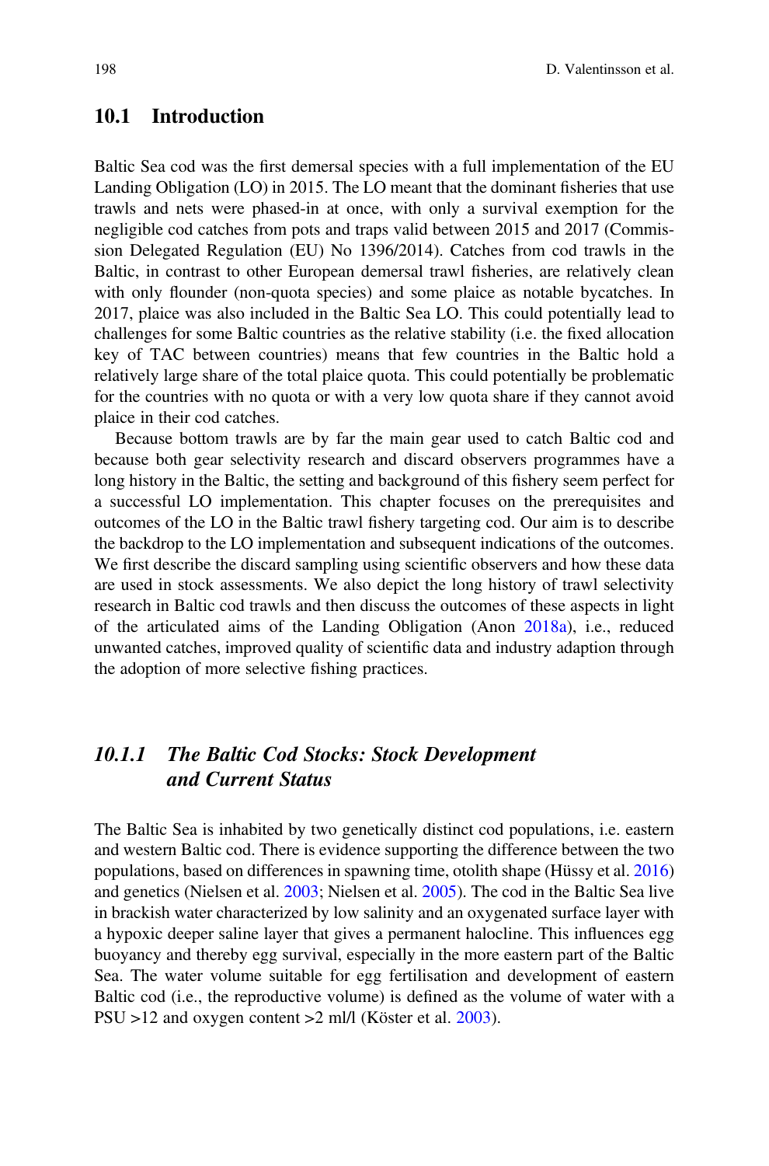## 10.1 Introduction

Baltic Sea cod was the first demersal species with a full implementation of the EU Landing Obligation (LO) in 2015. The LO meant that the dominant fisheries that use trawls and nets were phased-in at once, with only a survival exemption for the negligible cod catches from pots and traps valid between 2015 and 2017 (Commission Delegated Regulation (EU) No 1396/2014). Catches from cod trawls in the Baltic, in contrast to other European demersal trawl fisheries, are relatively clean with only flounder (non-quota species) and some plaice as notable bycatches. In 2017, plaice was also included in the Baltic Sea LO. This could potentially lead to challenges for some Baltic countries as the relative stability (i.e. the fixed allocation key of TAC between countries) means that few countries in the Baltic hold a relatively large share of the total plaice quota. This could potentially be problematic for the countries with no quota or with a very low quota share if they cannot avoid plaice in their cod catches.

Because bottom trawls are by far the main gear used to catch Baltic cod and because both gear selectivity research and discard observers programmes have a long history in the Baltic, the setting and background of this fishery seem perfect for a successful LO implementation. This chapter focuses on the prerequisites and outcomes of the LO in the Baltic trawl fishery targeting cod. Our aim is to describe the backdrop to the LO implementation and subsequent indications of the outcomes. We first describe the discard sampling using scientific observers and how these data are used in stock assessments. We also depict the long history of trawl selectivity research in Baltic cod trawls and then discuss the outcomes of these aspects in light of the articulated aims of the Landing Obligation (Anon [2018a](#page-19-0)), i.e., reduced unwanted catches, improved quality of scientific data and industry adaption through the adoption of more selective fishing practices.

# 10.1.1 The Baltic Cod Stocks: Stock Development and Current Status

The Baltic Sea is inhabited by two genetically distinct cod populations, i.e. eastern and western Baltic cod. There is evidence supporting the difference between the two populations, based on differences in spawning time, otolith shape (Hüssy et al. [2016](#page-20-0)) and genetics (Nielsen et al. [2003](#page-21-0); Nielsen et al. [2005](#page-21-1)). The cod in the Baltic Sea live in brackish water characterized by low salinity and an oxygenated surface layer with a hypoxic deeper saline layer that gives a permanent halocline. This influences egg buoyancy and thereby egg survival, especially in the more eastern part of the Baltic Sea. The water volume suitable for egg fertilisation and development of eastern Baltic cod (i.e., the reproductive volume) is defined as the volume of water with a PSU >12 and oxygen content >2 ml/l (Köster et al. [2003\)](#page-20-1).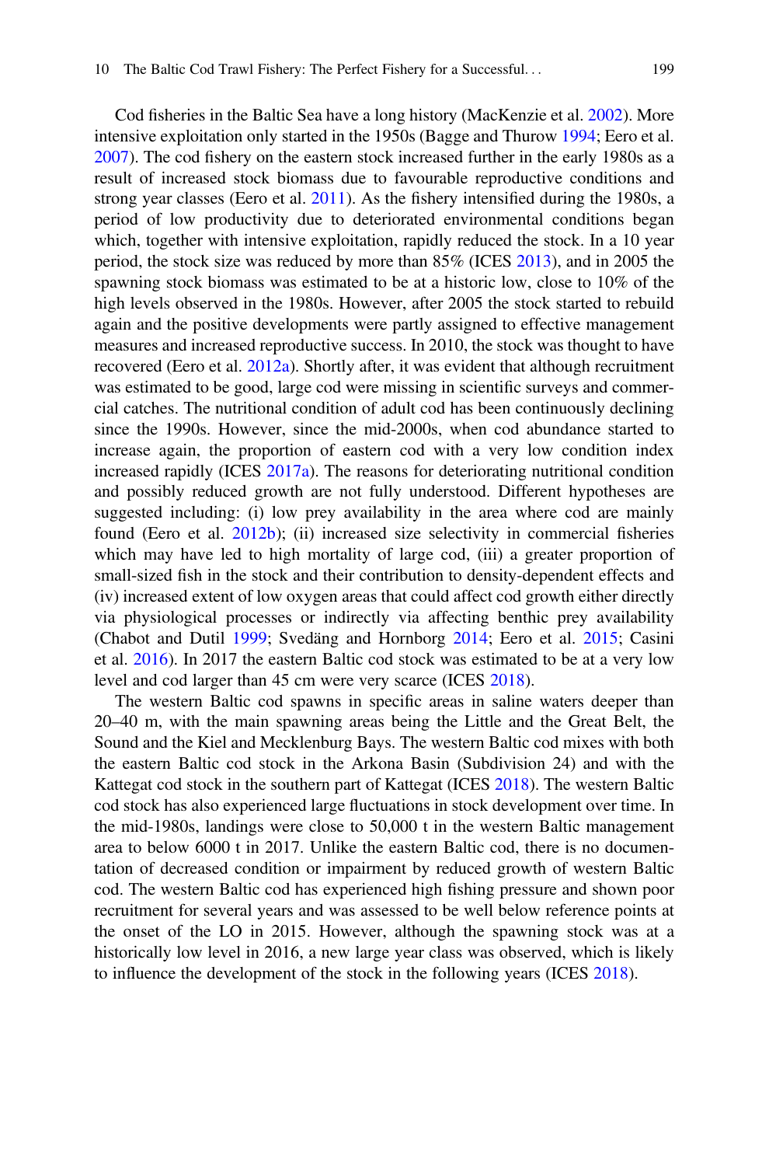Cod fisheries in the Baltic Sea have a long history (MacKenzie et al. [2002](#page-21-2)). More intensive exploitation only started in the 1950s (Bagge and Thurow [1994;](#page-19-1) Eero et al. [2007\)](#page-19-2). The cod fishery on the eastern stock increased further in the early 1980s as a result of increased stock biomass due to favourable reproductive conditions and strong year classes (Eero et al. [2011\)](#page-19-3). As the fishery intensified during the 1980s, a period of low productivity due to deteriorated environmental conditions began which, together with intensive exploitation, rapidly reduced the stock. In a 10 year period, the stock size was reduced by more than 85% (ICES [2013](#page-20-2)), and in 2005 the spawning stock biomass was estimated to be at a historic low, close to 10% of the high levels observed in the 1980s. However, after 2005 the stock started to rebuild again and the positive developments were partly assigned to effective management measures and increased reproductive success. In 2010, the stock was thought to have recovered (Eero et al. [2012a\)](#page-19-4). Shortly after, it was evident that although recruitment was estimated to be good, large cod were missing in scientific surveys and commercial catches. The nutritional condition of adult cod has been continuously declining since the 1990s. However, since the mid-2000s, when cod abundance started to increase again, the proportion of eastern cod with a very low condition index increased rapidly (ICES [2017a\)](#page-20-3). The reasons for deteriorating nutritional condition and possibly reduced growth are not fully understood. Different hypotheses are suggested including: (i) low prey availability in the area where cod are mainly found (Eero et al. [2012b\)](#page-20-4); (ii) increased size selectivity in commercial fisheries which may have led to high mortality of large cod, (iii) a greater proportion of small-sized fish in the stock and their contribution to density-dependent effects and (iv) increased extent of low oxygen areas that could affect cod growth either directly via physiological processes or indirectly via affecting benthic prey availability (Chabot and Dutil [1999;](#page-19-5) Svedäng and Hornborg [2014](#page-22-0); Eero et al. [2015](#page-20-5); Casini et al. [2016](#page-19-6)). In 2017 the eastern Baltic cod stock was estimated to be at a very low level and cod larger than 45 cm were very scarce (ICES [2018](#page-20-6)).

The western Baltic cod spawns in specific areas in saline waters deeper than 20–40 m, with the main spawning areas being the Little and the Great Belt, the Sound and the Kiel and Mecklenburg Bays. The western Baltic cod mixes with both the eastern Baltic cod stock in the Arkona Basin (Subdivision 24) and with the Kattegat cod stock in the southern part of Kattegat (ICES [2018\)](#page-20-6). The western Baltic cod stock has also experienced large fluctuations in stock development over time. In the mid-1980s, landings were close to 50,000 t in the western Baltic management area to below 6000 t in 2017. Unlike the eastern Baltic cod, there is no documentation of decreased condition or impairment by reduced growth of western Baltic cod. The western Baltic cod has experienced high fishing pressure and shown poor recruitment for several years and was assessed to be well below reference points at the onset of the LO in 2015. However, although the spawning stock was at a historically low level in 2016, a new large year class was observed, which is likely to influence the development of the stock in the following years (ICES [2018](#page-20-6)).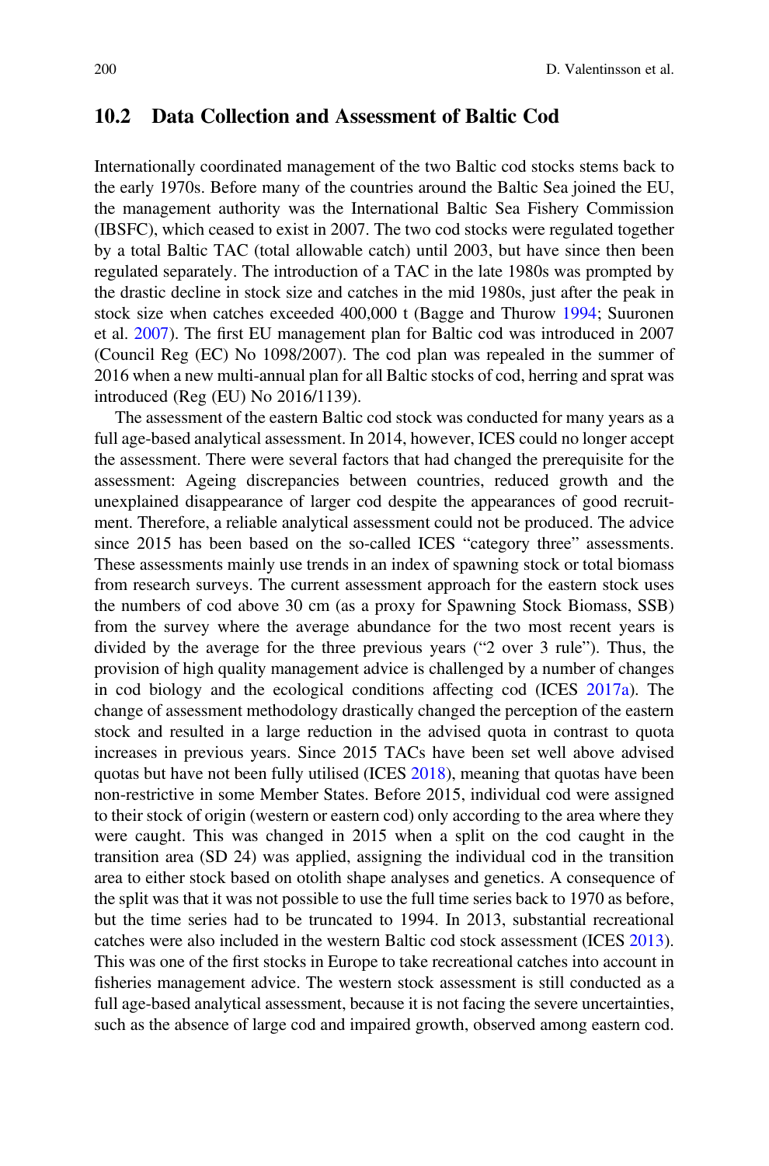## 10.2 Data Collection and Assessment of Baltic Cod

Internationally coordinated management of the two Baltic cod stocks stems back to the early 1970s. Before many of the countries around the Baltic Sea joined the EU, the management authority was the International Baltic Sea Fishery Commission (IBSFC), which ceased to exist in 2007. The two cod stocks were regulated together by a total Baltic TAC (total allowable catch) until 2003, but have since then been regulated separately. The introduction of a TAC in the late 1980s was prompted by the drastic decline in stock size and catches in the mid 1980s, just after the peak in stock size when catches exceeded 400,000 t (Bagge and Thurow [1994](#page-19-1); Suuronen et al. [2007\)](#page-22-1). The first EU management plan for Baltic cod was introduced in 2007 (Council Reg (EC) No 1098/2007). The cod plan was repealed in the summer of 2016 when a new multi-annual plan for all Baltic stocks of cod, herring and sprat was introduced (Reg (EU) No 2016/1139).

The assessment of the eastern Baltic cod stock was conducted for many years as a full age-based analytical assessment. In 2014, however, ICES could no longer accept the assessment. There were several factors that had changed the prerequisite for the assessment: Ageing discrepancies between countries, reduced growth and the unexplained disappearance of larger cod despite the appearances of good recruitment. Therefore, a reliable analytical assessment could not be produced. The advice since 2015 has been based on the so-called ICES "category three" assessments. These assessments mainly use trends in an index of spawning stock or total biomass from research surveys. The current assessment approach for the eastern stock uses the numbers of cod above 30 cm (as a proxy for Spawning Stock Biomass, SSB) from the survey where the average abundance for the two most recent years is divided by the average for the three previous years ("2 over 3 rule"). Thus, the provision of high quality management advice is challenged by a number of changes in cod biology and the ecological conditions affecting cod (ICES [2017a\)](#page-20-3). The change of assessment methodology drastically changed the perception of the eastern stock and resulted in a large reduction in the advised quota in contrast to quota increases in previous years. Since 2015 TACs have been set well above advised quotas but have not been fully utilised (ICES [2018](#page-20-6)), meaning that quotas have been non-restrictive in some Member States. Before 2015, individual cod were assigned to their stock of origin (western or eastern cod) only according to the area where they were caught. This was changed in 2015 when a split on the cod caught in the transition area (SD 24) was applied, assigning the individual cod in the transition area to either stock based on otolith shape analyses and genetics. A consequence of the split was that it was not possible to use the full time series back to 1970 as before, but the time series had to be truncated to 1994. In 2013, substantial recreational catches were also included in the western Baltic cod stock assessment (ICES [2013\)](#page-20-2). This was one of the first stocks in Europe to take recreational catches into account in fisheries management advice. The western stock assessment is still conducted as a full age-based analytical assessment, because it is not facing the severe uncertainties, such as the absence of large cod and impaired growth, observed among eastern cod.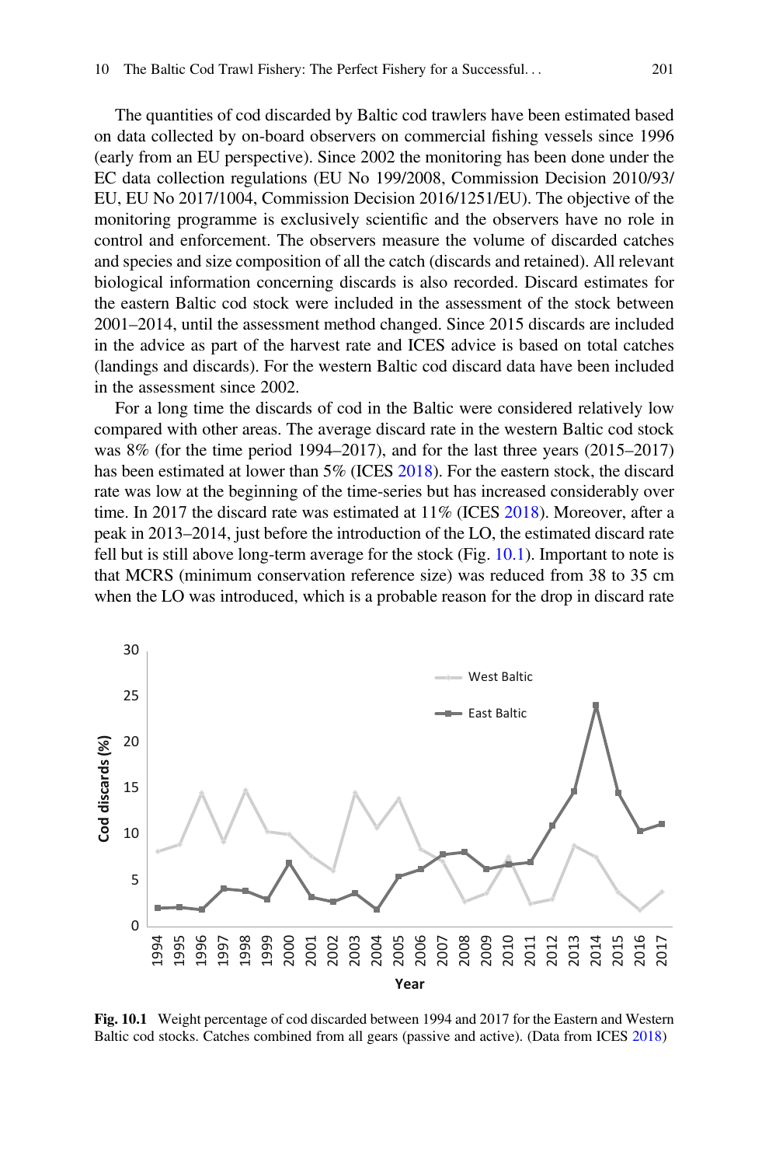The quantities of cod discarded by Baltic cod trawlers have been estimated based on data collected by on-board observers on commercial fishing vessels since 1996 (early from an EU perspective). Since 2002 the monitoring has been done under the EC data collection regulations (EU No 199/2008, Commission Decision 2010/93/ EU, EU No 2017/1004, Commission Decision 2016/1251/EU). The objective of the monitoring programme is exclusively scientific and the observers have no role in control and enforcement. The observers measure the volume of discarded catches and species and size composition of all the catch (discards and retained). All relevant biological information concerning discards is also recorded. Discard estimates for the eastern Baltic cod stock were included in the assessment of the stock between 2001–2014, until the assessment method changed. Since 2015 discards are included in the advice as part of the harvest rate and ICES advice is based on total catches (landings and discards). For the western Baltic cod discard data have been included in the assessment since 2002.

For a long time the discards of cod in the Baltic were considered relatively low compared with other areas. The average discard rate in the western Baltic cod stock was 8% (for the time period 1994–2017), and for the last three years (2015–2017) has been estimated at lower than 5% (ICES [2018\)](#page-20-6). For the eastern stock, the discard rate was low at the beginning of the time-series but has increased considerably over time. In 2017 the discard rate was estimated at 11% (ICES [2018](#page-20-6)). Moreover, after a peak in 2013–2014, just before the introduction of the LO, the estimated discard rate fell but is still above long-term average for the stock (Fig.  $10.1$ ). Important to note is that MCRS (minimum conservation reference size) was reduced from 38 to 35 cm when the LO was introduced, which is a probable reason for the drop in discard rate

<span id="page-5-0"></span>

Fig. 10.1 Weight percentage of cod discarded between 1994 and 2017 for the Eastern and Western Baltic cod stocks. Catches combined from all gears (passive and active). (Data from ICES [2018](#page-20-6))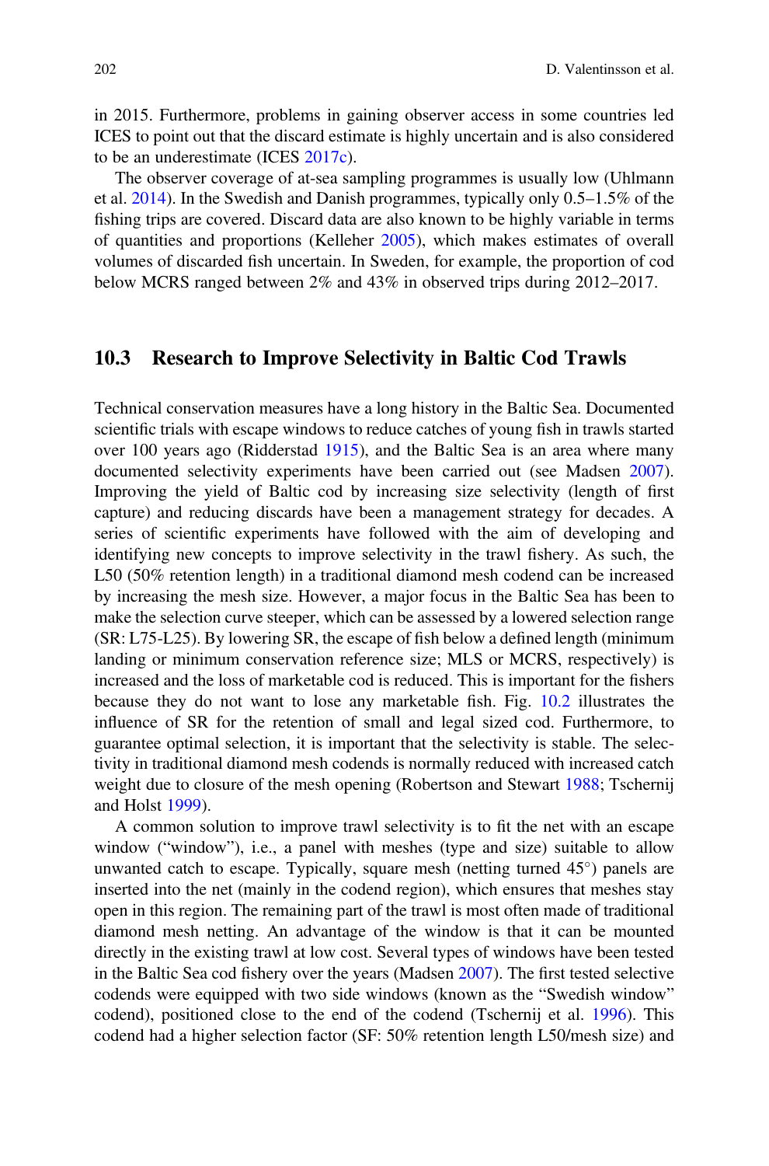in 2015. Furthermore, problems in gaining observer access in some countries led ICES to point out that the discard estimate is highly uncertain and is also considered to be an underestimate (ICES [2017c](#page-20-7)).

The observer coverage of at-sea sampling programmes is usually low (Uhlmann et al. [2014](#page-22-2)). In the Swedish and Danish programmes, typically only 0.5–1.5% of the fishing trips are covered. Discard data are also known to be highly variable in terms of quantities and proportions (Kelleher [2005\)](#page-20-8), which makes estimates of overall volumes of discarded fish uncertain. In Sweden, for example, the proportion of cod below MCRS ranged between 2% and 43% in observed trips during 2012–2017.

### 10.3 Research to Improve Selectivity in Baltic Cod Trawls

Technical conservation measures have a long history in the Baltic Sea. Documented scientific trials with escape windows to reduce catches of young fish in trawls started over 100 years ago (Ridderstad [1915](#page-21-3)), and the Baltic Sea is an area where many documented selectivity experiments have been carried out (see Madsen [2007\)](#page-21-4). Improving the yield of Baltic cod by increasing size selectivity (length of first capture) and reducing discards have been a management strategy for decades. A series of scientific experiments have followed with the aim of developing and identifying new concepts to improve selectivity in the trawl fishery. As such, the L50 (50% retention length) in a traditional diamond mesh codend can be increased by increasing the mesh size. However, a major focus in the Baltic Sea has been to make the selection curve steeper, which can be assessed by a lowered selection range (SR: L75-L25). By lowering SR, the escape of fish below a defined length (minimum landing or minimum conservation reference size; MLS or MCRS, respectively) is increased and the loss of marketable cod is reduced. This is important for the fishers because they do not want to lose any marketable fish. Fig. [10.2](#page-7-0) illustrates the influence of SR for the retention of small and legal sized cod. Furthermore, to guarantee optimal selection, it is important that the selectivity is stable. The selectivity in traditional diamond mesh codends is normally reduced with increased catch weight due to closure of the mesh opening (Robertson and Stewart [1988;](#page-21-5) Tschernij and Holst [1999](#page-22-3)).

A common solution to improve trawl selectivity is to fit the net with an escape window ("window"), i.e., a panel with meshes (type and size) suitable to allow unwanted catch to escape. Typically, square mesh (netting turned  $45^{\circ}$ ) panels are inserted into the net (mainly in the codend region), which ensures that meshes stay open in this region. The remaining part of the trawl is most often made of traditional diamond mesh netting. An advantage of the window is that it can be mounted directly in the existing trawl at low cost. Several types of windows have been tested in the Baltic Sea cod fishery over the years (Madsen [2007\)](#page-21-4). The first tested selective codends were equipped with two side windows (known as the "Swedish window" codend), positioned close to the end of the codend (Tschernij et al. [1996](#page-22-4)). This codend had a higher selection factor (SF: 50% retention length L50/mesh size) and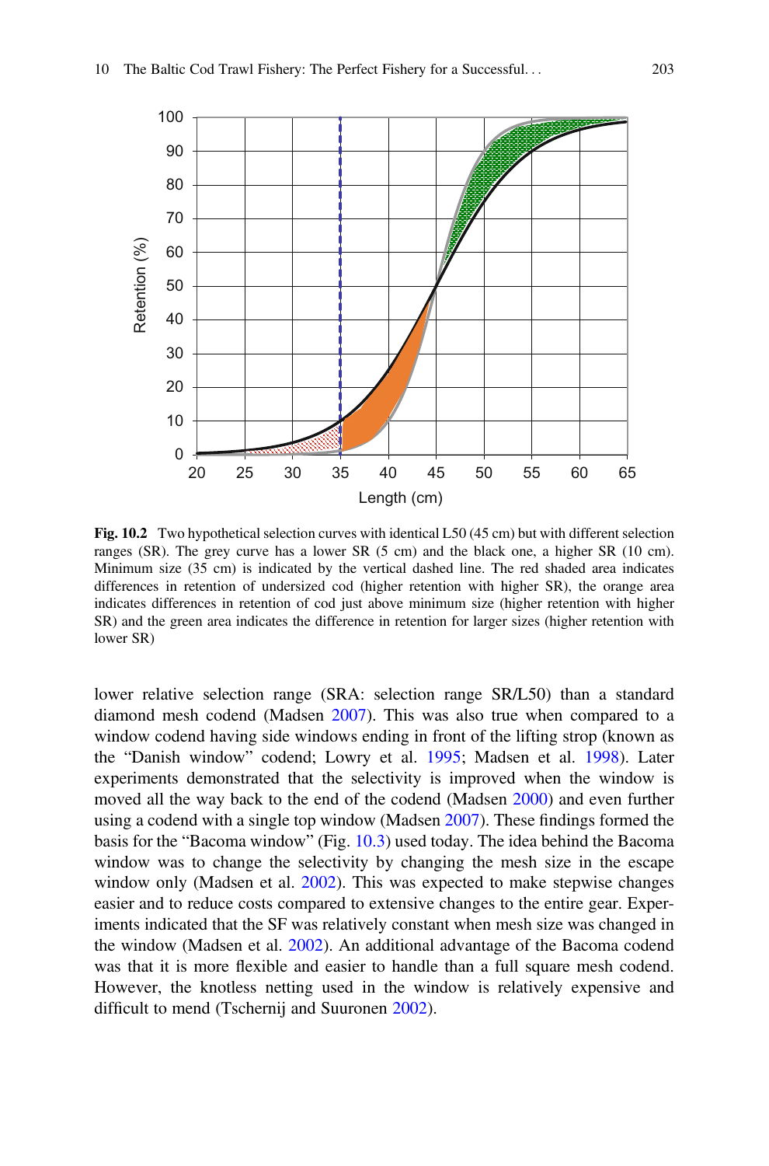<span id="page-7-0"></span>

Fig. 10.2 Two hypothetical selection curves with identical L50 (45 cm) but with different selection ranges (SR). The grey curve has a lower SR (5 cm) and the black one, a higher SR (10 cm). Minimum size (35 cm) is indicated by the vertical dashed line. The red shaded area indicates differences in retention of undersized cod (higher retention with higher SR), the orange area indicates differences in retention of cod just above minimum size (higher retention with higher SR) and the green area indicates the difference in retention for larger sizes (higher retention with lower SR)

lower relative selection range (SRA: selection range SR/L50) than a standard diamond mesh codend (Madsen [2007\)](#page-21-4). This was also true when compared to a window codend having side windows ending in front of the lifting strop (known as the "Danish window" codend; Lowry et al. [1995;](#page-20-9) Madsen et al. [1998](#page-21-6)). Later experiments demonstrated that the selectivity is improved when the window is moved all the way back to the end of the codend (Madsen [2000](#page-21-7)) and even further using a codend with a single top window (Madsen [2007](#page-21-4)). These findings formed the basis for the "Bacoma window" (Fig. [10.3](#page-8-0)) used today. The idea behind the Bacoma window was to change the selectivity by changing the mesh size in the escape window only (Madsen et al. [2002](#page-21-8)). This was expected to make stepwise changes easier and to reduce costs compared to extensive changes to the entire gear. Experiments indicated that the SF was relatively constant when mesh size was changed in the window (Madsen et al. [2002\)](#page-21-8). An additional advantage of the Bacoma codend was that it is more flexible and easier to handle than a full square mesh codend. However, the knotless netting used in the window is relatively expensive and difficult to mend (Tschernij and Suuronen [2002](#page-22-5)).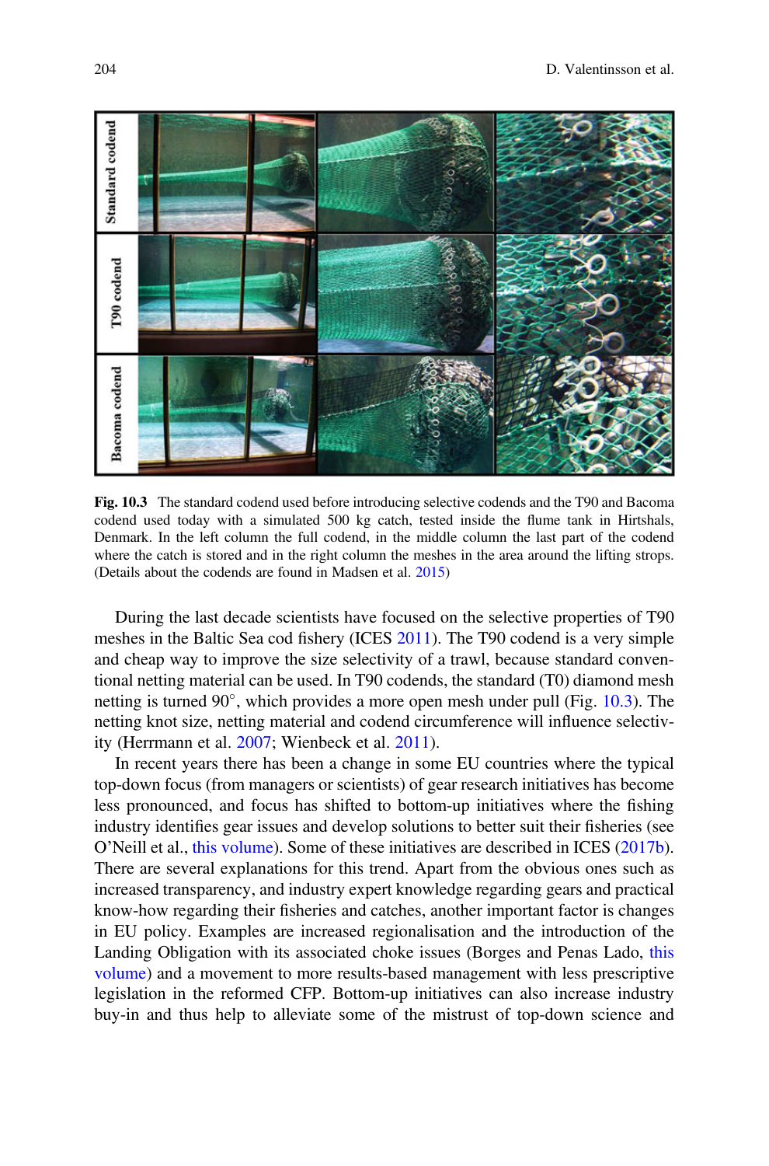<span id="page-8-0"></span>

Fig. 10.3 The standard codend used before introducing selective codends and the T90 and Bacoma codend used today with a simulated 500 kg catch, tested inside the flume tank in Hirtshals, Denmark. In the left column the full codend, in the middle column the last part of the codend where the catch is stored and in the right column the meshes in the area around the lifting strops. (Details about the codends are found in Madsen et al. [2015\)](#page-21-10)

During the last decade scientists have focused on the selective properties of T90 meshes in the Baltic Sea cod fishery (ICES [2011\)](#page-20-10). The T90 codend is a very simple and cheap way to improve the size selectivity of a trawl, because standard conventional netting material can be used. In T90 codends, the standard (T0) diamond mesh netting is turned  $90^{\circ}$ , which provides a more open mesh under pull (Fig. [10.3\)](#page-8-0). The netting knot size, netting material and codend circumference will influence selectivity (Herrmann et al. [2007](#page-20-11); Wienbeck et al. [2011\)](#page-22-6).

In recent years there has been a change in some EU countries where the typical top-down focus (from managers or scientists) of gear research initiatives has become less pronounced, and focus has shifted to bottom-up initiatives where the fishing industry identifies gear issues and develop solutions to better suit their fisheries (see O'Neill et al., [this volume](#page-21-9)). Some of these initiatives are described in ICES ([2017b\)](#page-20-12). There are several explanations for this trend. Apart from the obvious ones such as increased transparency, and industry expert knowledge regarding gears and practical know-how regarding their fisheries and catches, another important factor is changes in EU policy. Examples are increased regionalisation and the introduction of the Landing Obligation with its associated choke issues (Borges and Penas Lado, [this](#page-19-7) [volume\)](#page-19-7) and a movement to more results-based management with less prescriptive legislation in the reformed CFP. Bottom-up initiatives can also increase industry buy-in and thus help to alleviate some of the mistrust of top-down science and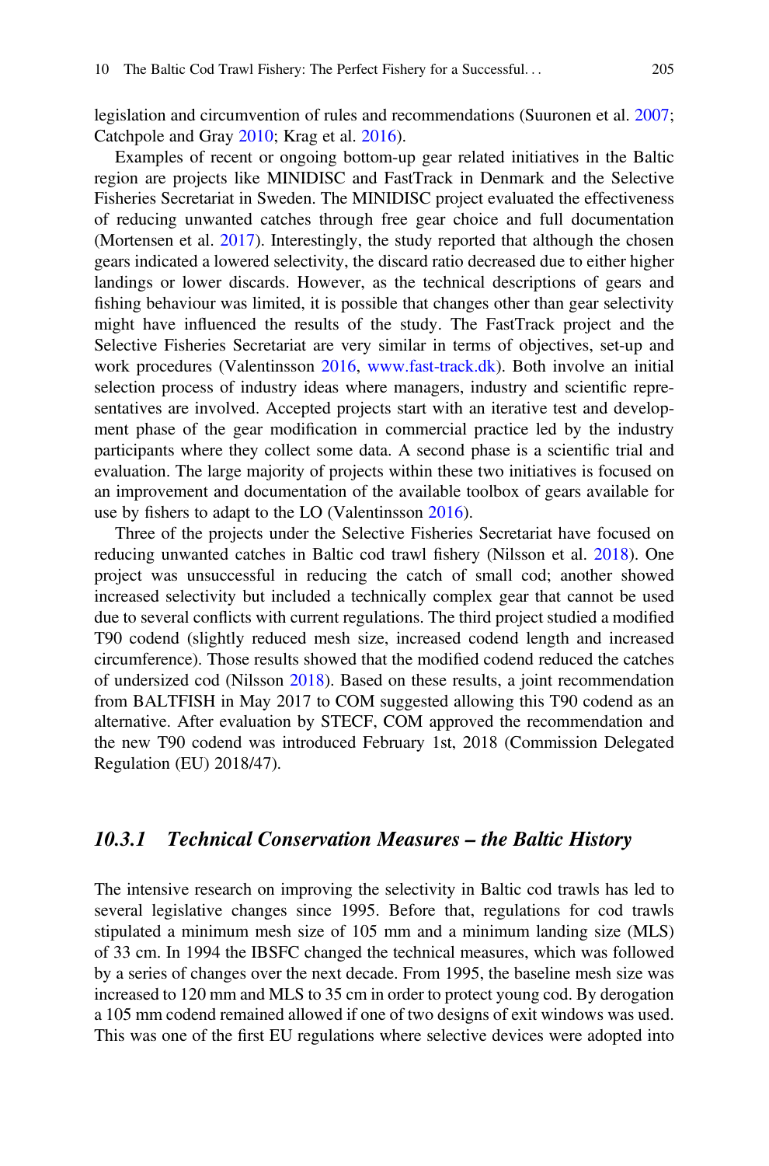legislation and circumvention of rules and recommendations (Suuronen et al. [2007;](#page-22-1) Catchpole and Gray [2010](#page-19-8); Krag et al. [2016\)](#page-20-13).

Examples of recent or ongoing bottom-up gear related initiatives in the Baltic region are projects like MINIDISC and FastTrack in Denmark and the Selective Fisheries Secretariat in Sweden. The MINIDISC project evaluated the effectiveness of reducing unwanted catches through free gear choice and full documentation (Mortensen et al. [2017\)](#page-21-11). Interestingly, the study reported that although the chosen gears indicated a lowered selectivity, the discard ratio decreased due to either higher landings or lower discards. However, as the technical descriptions of gears and fishing behaviour was limited, it is possible that changes other than gear selectivity might have influenced the results of the study. The FastTrack project and the Selective Fisheries Secretariat are very similar in terms of objectives, set-up and work procedures (Valentinsson [2016,](#page-22-7) [www.fast-track.dk](http://www.fast-track.dk)). Both involve an initial selection process of industry ideas where managers, industry and scientific representatives are involved. Accepted projects start with an iterative test and development phase of the gear modification in commercial practice led by the industry participants where they collect some data. A second phase is a scientific trial and evaluation. The large majority of projects within these two initiatives is focused on an improvement and documentation of the available toolbox of gears available for use by fishers to adapt to the LO (Valentinsson [2016\)](#page-22-7).

Three of the projects under the Selective Fisheries Secretariat have focused on reducing unwanted catches in Baltic cod trawl fishery (Nilsson et al. [2018\)](#page-21-12). One project was unsuccessful in reducing the catch of small cod; another showed increased selectivity but included a technically complex gear that cannot be used due to several conflicts with current regulations. The third project studied a modified T90 codend (slightly reduced mesh size, increased codend length and increased circumference). Those results showed that the modified codend reduced the catches of undersized cod (Nilsson [2018\)](#page-21-13). Based on these results, a joint recommendation from BALTFISH in May 2017 to COM suggested allowing this T90 codend as an alternative. After evaluation by STECF, COM approved the recommendation and the new T90 codend was introduced February 1st, 2018 (Commission Delegated Regulation (EU) 2018/47).

## 10.3.1 Technical Conservation Measures – the Baltic History

The intensive research on improving the selectivity in Baltic cod trawls has led to several legislative changes since 1995. Before that, regulations for cod trawls stipulated a minimum mesh size of 105 mm and a minimum landing size (MLS) of 33 cm. In 1994 the IBSFC changed the technical measures, which was followed by a series of changes over the next decade. From 1995, the baseline mesh size was increased to 120 mm and MLS to 35 cm in order to protect young cod. By derogation a 105 mm codend remained allowed if one of two designs of exit windows was used. This was one of the first EU regulations where selective devices were adopted into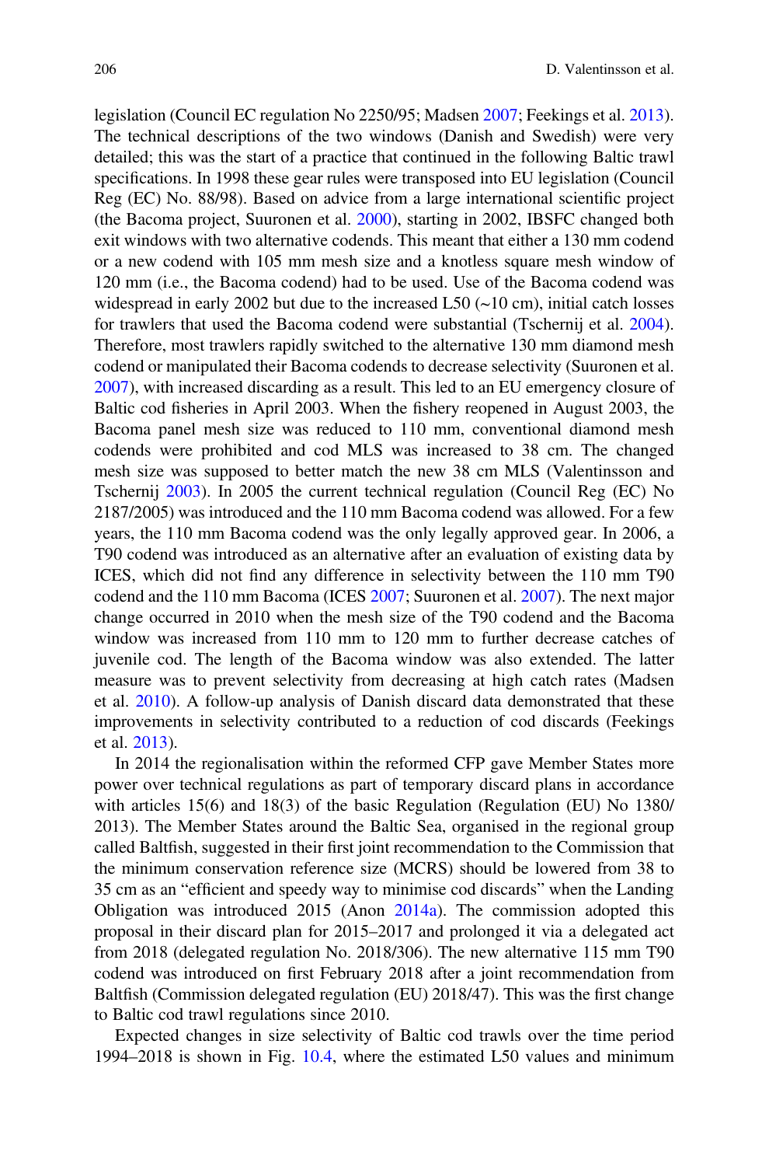legislation (Council EC regulation No 2250/95; Madsen [2007](#page-21-4); Feekings et al. [2013\)](#page-20-14). The technical descriptions of the two windows (Danish and Swedish) were very detailed; this was the start of a practice that continued in the following Baltic trawl specifications. In 1998 these gear rules were transposed into EU legislation (Council Reg (EC) No. 88/98). Based on advice from a large international scientific project (the Bacoma project, Suuronen et al. [2000\)](#page-22-8), starting in 2002, IBSFC changed both exit windows with two alternative codends. This meant that either a 130 mm codend or a new codend with 105 mm mesh size and a knotless square mesh window of 120 mm (i.e., the Bacoma codend) had to be used. Use of the Bacoma codend was widespread in early 2002 but due to the increased L50  $(\sim 10 \text{ cm})$ , initial catch losses for trawlers that used the Bacoma codend were substantial (Tschernij et al. [2004\)](#page-22-9). Therefore, most trawlers rapidly switched to the alternative 130 mm diamond mesh codend or manipulated their Bacoma codends to decrease selectivity (Suuronen et al. [2007\)](#page-22-1), with increased discarding as a result. This led to an EU emergency closure of Baltic cod fisheries in April 2003. When the fishery reopened in August 2003, the Bacoma panel mesh size was reduced to 110 mm, conventional diamond mesh codends were prohibited and cod MLS was increased to 38 cm. The changed mesh size was supposed to better match the new 38 cm MLS (Valentinsson and Tschernij [2003\)](#page-22-10). In 2005 the current technical regulation (Council Reg (EC) No 2187/2005) was introduced and the 110 mm Bacoma codend was allowed. For a few years, the 110 mm Bacoma codend was the only legally approved gear. In 2006, a T90 codend was introduced as an alternative after an evaluation of existing data by ICES, which did not find any difference in selectivity between the 110 mm T90 codend and the 110 mm Bacoma (ICES [2007;](#page-20-15) Suuronen et al. [2007\)](#page-22-1). The next major change occurred in 2010 when the mesh size of the T90 codend and the Bacoma window was increased from 110 mm to 120 mm to further decrease catches of juvenile cod. The length of the Bacoma window was also extended. The latter measure was to prevent selectivity from decreasing at high catch rates (Madsen et al. [2010](#page-21-14)). A follow-up analysis of Danish discard data demonstrated that these improvements in selectivity contributed to a reduction of cod discards (Feekings et al. [2013](#page-20-14)).

In 2014 the regionalisation within the reformed CFP gave Member States more power over technical regulations as part of temporary discard plans in accordance with articles 15(6) and 18(3) of the basic Regulation (Regulation (EU) No 1380/ 2013). The Member States around the Baltic Sea, organised in the regional group called Baltfish, suggested in their first joint recommendation to the Commission that the minimum conservation reference size (MCRS) should be lowered from 38 to 35 cm as an "efficient and speedy way to minimise cod discards" when the Landing Obligation was introduced 2015 (Anon [2014a\)](#page-19-9). The commission adopted this proposal in their discard plan for 2015–2017 and prolonged it via a delegated act from 2018 (delegated regulation No. 2018/306). The new alternative 115 mm T90 codend was introduced on first February 2018 after a joint recommendation from Baltfish (Commission delegated regulation (EU) 2018/47). This was the first change to Baltic cod trawl regulations since 2010.

Expected changes in size selectivity of Baltic cod trawls over the time period 1994–2018 is shown in Fig. [10.4](#page-11-0), where the estimated L50 values and minimum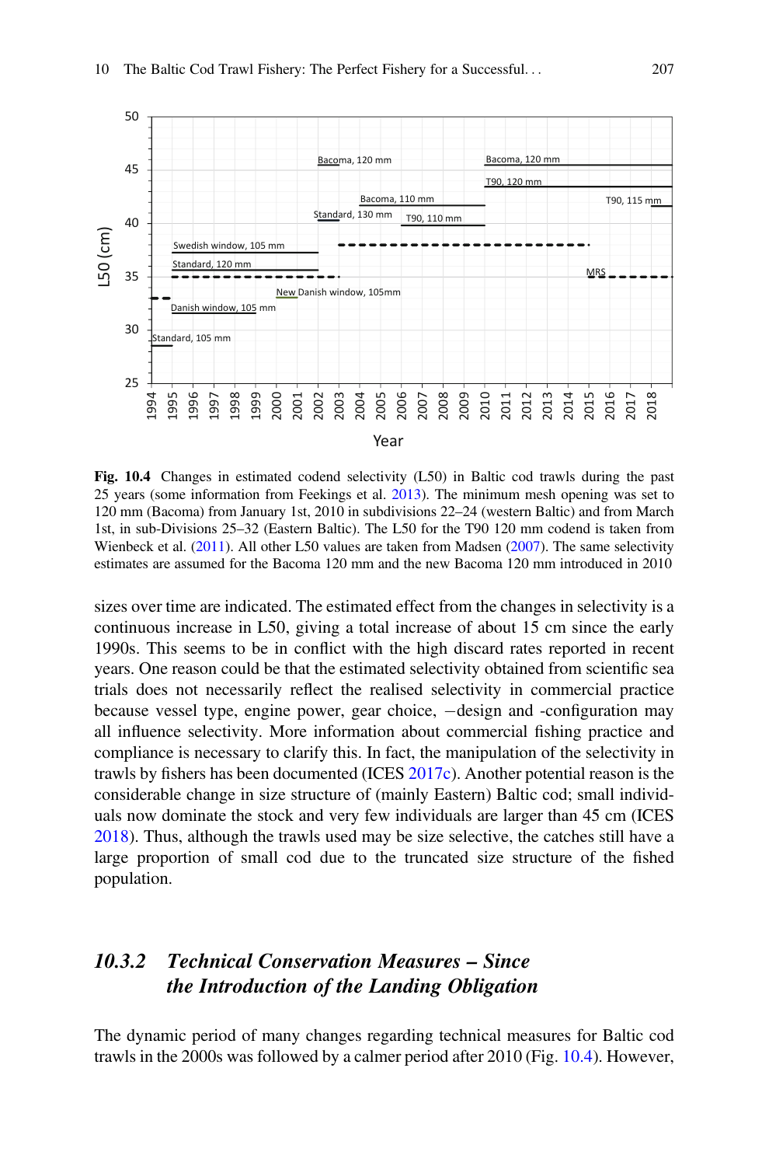<span id="page-11-0"></span>

Fig. 10.4 Changes in estimated codend selectivity (L50) in Baltic cod trawls during the past 25 years (some information from Feekings et al. [2013\)](#page-20-14). The minimum mesh opening was set to 120 mm (Bacoma) from January 1st, 2010 in subdivisions 22–24 (western Baltic) and from March 1st, in sub-Divisions 25–32 (Eastern Baltic). The L50 for the T90 120 mm codend is taken from Wienbeck et al. ([2011\)](#page-22-6). All other L50 values are taken from Madsen ([2007\)](#page-21-4). The same selectivity estimates are assumed for the Bacoma 120 mm and the new Bacoma 120 mm introduced in 2010

sizes over time are indicated. The estimated effect from the changes in selectivity is a continuous increase in L50, giving a total increase of about 15 cm since the early 1990s. This seems to be in conflict with the high discard rates reported in recent years. One reason could be that the estimated selectivity obtained from scientific sea trials does not necessarily reflect the realised selectivity in commercial practice because vessel type, engine power, gear choice,  $-\text{design}$  and -configuration may all influence selectivity. More information about commercial fishing practice and compliance is necessary to clarify this. In fact, the manipulation of the selectivity in trawls by fishers has been documented (ICES [2017c\)](#page-20-7). Another potential reason is the considerable change in size structure of (mainly Eastern) Baltic cod; small individuals now dominate the stock and very few individuals are larger than 45 cm (ICES [2018\)](#page-20-6). Thus, although the trawls used may be size selective, the catches still have a large proportion of small cod due to the truncated size structure of the fished population.

# 10.3.2 Technical Conservation Measures – Since the Introduction of the Landing Obligation

The dynamic period of many changes regarding technical measures for Baltic cod trawls in the 2000s was followed by a calmer period after 2010 (Fig. [10.4\)](#page-11-0). However,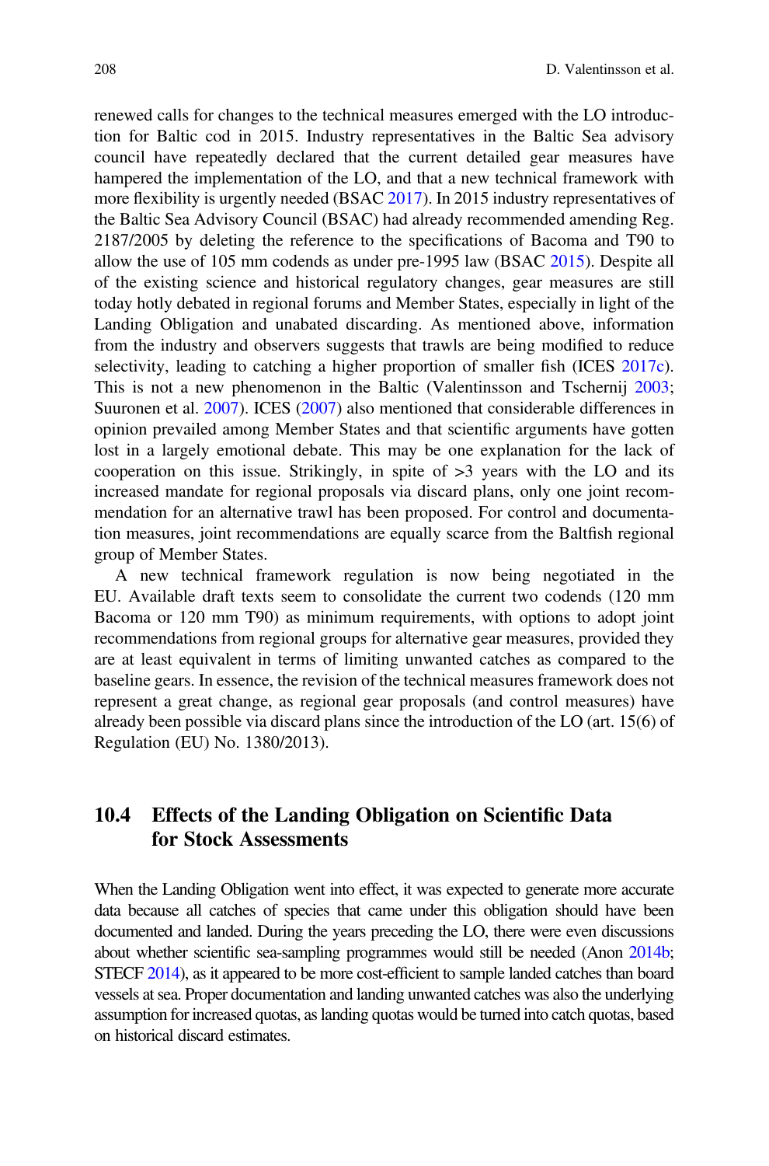renewed calls for changes to the technical measures emerged with the LO introduction for Baltic cod in 2015. Industry representatives in the Baltic Sea advisory council have repeatedly declared that the current detailed gear measures have hampered the implementation of the LO, and that a new technical framework with more flexibility is urgently needed (BSAC [2017\)](#page-19-10). In 2015 industry representatives of the Baltic Sea Advisory Council (BSAC) had already recommended amending Reg. 2187/2005 by deleting the reference to the specifications of Bacoma and T90 to allow the use of 105 mm codends as under pre-1995 law (BSAC [2015](#page-19-11)). Despite all of the existing science and historical regulatory changes, gear measures are still today hotly debated in regional forums and Member States, especially in light of the Landing Obligation and unabated discarding. As mentioned above, information from the industry and observers suggests that trawls are being modified to reduce selectivity, leading to catching a higher proportion of smaller fish (ICES [2017c\)](#page-20-7). This is not a new phenomenon in the Baltic (Valentinsson and Tschernij [2003;](#page-22-10) Suuronen et al. [2007\)](#page-22-1). ICES [\(2007](#page-20-15)) also mentioned that considerable differences in opinion prevailed among Member States and that scientific arguments have gotten lost in a largely emotional debate. This may be one explanation for the lack of cooperation on this issue. Strikingly, in spite of  $>3$  years with the LO and its increased mandate for regional proposals via discard plans, only one joint recommendation for an alternative trawl has been proposed. For control and documentation measures, joint recommendations are equally scarce from the Baltfish regional group of Member States.

A new technical framework regulation is now being negotiated in the EU. Available draft texts seem to consolidate the current two codends (120 mm Bacoma or 120 mm T90) as minimum requirements, with options to adopt joint recommendations from regional groups for alternative gear measures, provided they are at least equivalent in terms of limiting unwanted catches as compared to the baseline gears. In essence, the revision of the technical measures framework does not represent a great change, as regional gear proposals (and control measures) have already been possible via discard plans since the introduction of the LO (art. 15(6) of Regulation (EU) No. 1380/2013).

## 10.4 Effects of the Landing Obligation on Scientific Data for Stock Assessments

When the Landing Obligation went into effect, it was expected to generate more accurate data because all catches of species that came under this obligation should have been documented and landed. During the years preceding the LO, there were even discussions about whether scientific sea-sampling programmes would still be needed (Anon [2014b;](#page-19-12) STECF [2014\)](#page-21-15), as it appeared to be more cost-efficient to sample landed catches than board vessels at sea. Proper documentation and landing unwanted catches was also the underlying assumption for increased quotas, as landing quotas would be turned into catch quotas, based on historical discard estimates.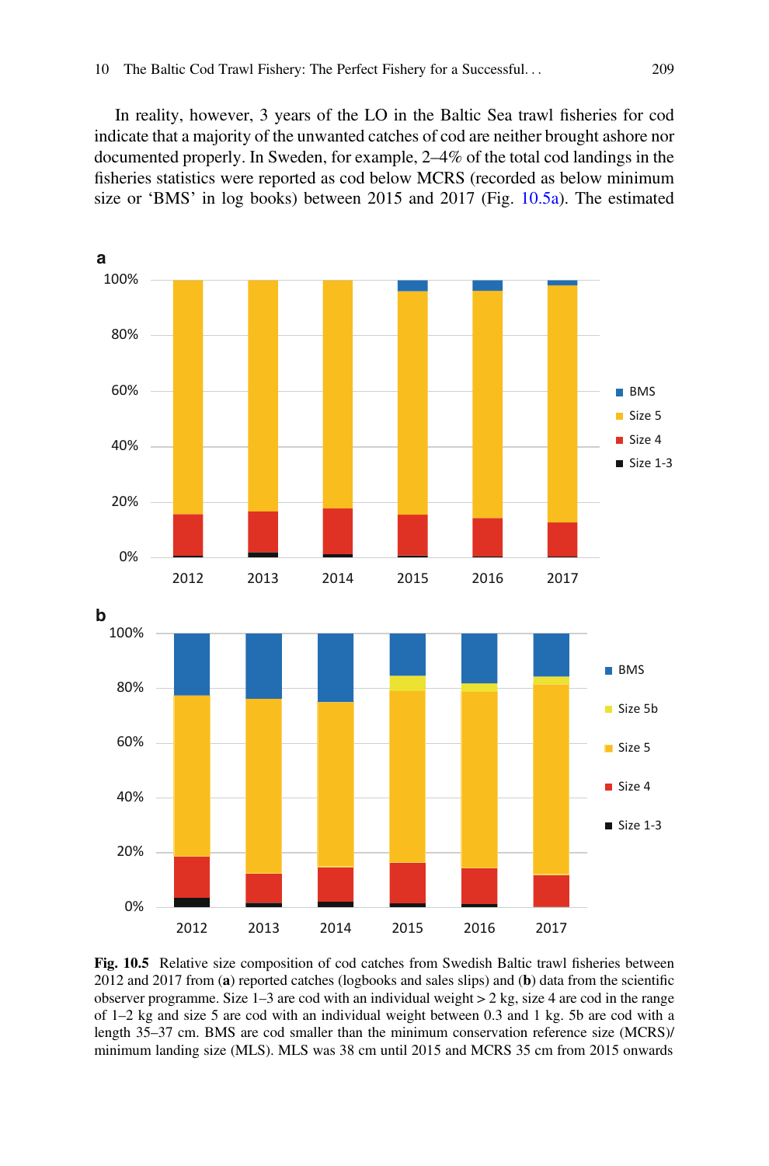In reality, however, 3 years of the LO in the Baltic Sea trawl fisheries for cod indicate that a majority of the unwanted catches of cod are neither brought ashore nor documented properly. In Sweden, for example, 2–4% of the total cod landings in the fisheries statistics were reported as cod below MCRS (recorded as below minimum size or 'BMS' in log books) between 2015 and 2017 (Fig.  $10.5a$ ). The estimated

<span id="page-13-0"></span>

Fig. 10.5 Relative size composition of cod catches from Swedish Baltic trawl fisheries between 2012 and 2017 from (a) reported catches (logbooks and sales slips) and (b) data from the scientific observer programme. Size 1–3 are cod with an individual weight > 2 kg, size 4 are cod in the range of 1–2 kg and size 5 are cod with an individual weight between 0.3 and 1 kg. 5b are cod with a length 35–37 cm. BMS are cod smaller than the minimum conservation reference size (MCRS)/ minimum landing size (MLS). MLS was 38 cm until 2015 and MCRS 35 cm from 2015 onwards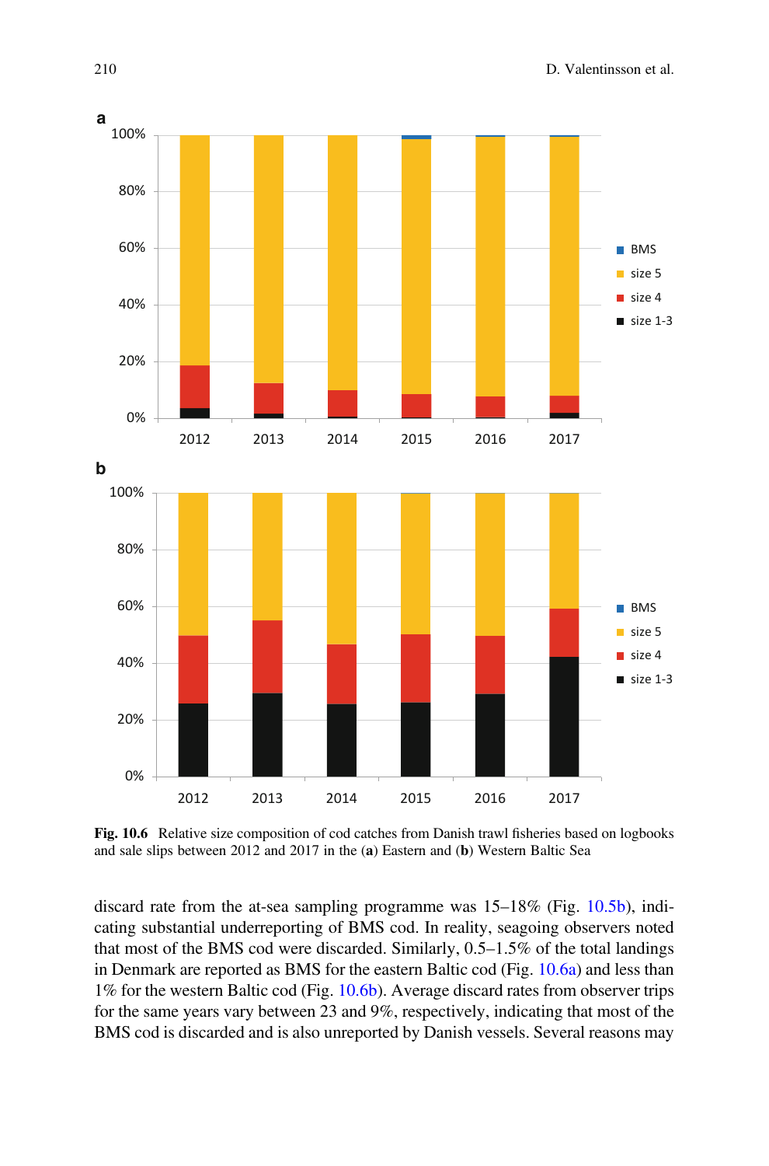<span id="page-14-0"></span>

Fig. 10.6 Relative size composition of cod catches from Danish trawl fisheries based on logbooks and sale slips between 2012 and 2017 in the (a) Eastern and (b) Western Baltic Sea

discard rate from the at-sea sampling programme was 15–18% (Fig. [10.5b\)](#page-13-0), indicating substantial underreporting of BMS cod. In reality, seagoing observers noted that most of the BMS cod were discarded. Similarly, 0.5–1.5% of the total landings in Denmark are reported as BMS for the eastern Baltic cod (Fig. [10.6a](#page-14-0)) and less than 1% for the western Baltic cod (Fig. [10.6b\)](#page-14-0). Average discard rates from observer trips for the same years vary between 23 and 9%, respectively, indicating that most of the BMS cod is discarded and is also unreported by Danish vessels. Several reasons may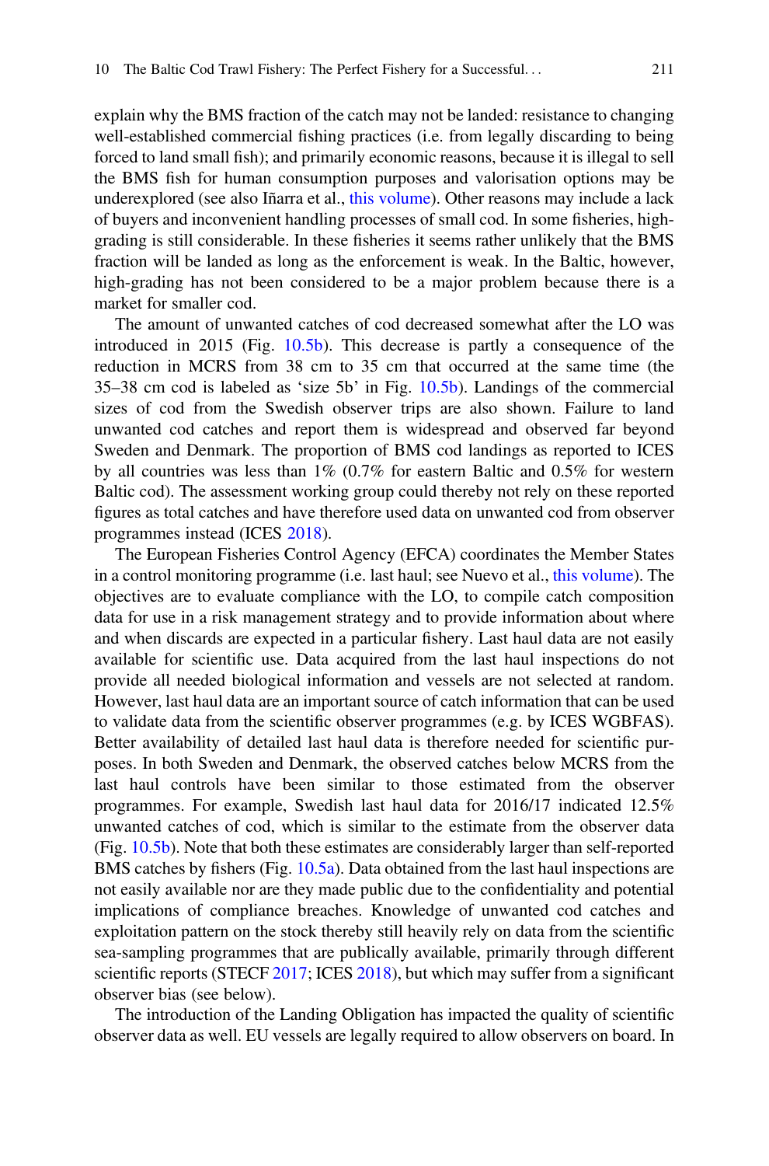explain why the BMS fraction of the catch may not be landed: resistance to changing well-established commercial fishing practices (i.e. from legally discarding to being forced to land small fish); and primarily economic reasons, because it is illegal to sell the BMS fish for human consumption purposes and valorisation options may be underexplored (see also Iñarra et al., [this volume](#page-20-16)). Other reasons may include a lack of buyers and inconvenient handling processes of small cod. In some fisheries, highgrading is still considerable. In these fisheries it seems rather unlikely that the BMS fraction will be landed as long as the enforcement is weak. In the Baltic, however, high-grading has not been considered to be a major problem because there is a market for smaller cod.

The amount of unwanted catches of cod decreased somewhat after the LO was introduced in 2015 (Fig. [10.5b\)](#page-13-0). This decrease is partly a consequence of the reduction in MCRS from 38 cm to 35 cm that occurred at the same time (the 35–38 cm cod is labeled as 'size 5b' in Fig. [10.5b\)](#page-13-0). Landings of the commercial sizes of cod from the Swedish observer trips are also shown. Failure to land unwanted cod catches and report them is widespread and observed far beyond Sweden and Denmark. The proportion of BMS cod landings as reported to ICES by all countries was less than  $1\%$  (0.7% for eastern Baltic and 0.5% for western Baltic cod). The assessment working group could thereby not rely on these reported figures as total catches and have therefore used data on unwanted cod from observer programmes instead (ICES [2018](#page-20-6)).

The European Fisheries Control Agency (EFCA) coordinates the Member States in a control monitoring programme (i.e. last haul; see Nuevo et al., [this volume](#page-21-16)). The objectives are to evaluate compliance with the LO, to compile catch composition data for use in a risk management strategy and to provide information about where and when discards are expected in a particular fishery. Last haul data are not easily available for scientific use. Data acquired from the last haul inspections do not provide all needed biological information and vessels are not selected at random. However, last haul data are an important source of catch information that can be used to validate data from the scientific observer programmes (e.g. by ICES WGBFAS). Better availability of detailed last haul data is therefore needed for scientific purposes. In both Sweden and Denmark, the observed catches below MCRS from the last haul controls have been similar to those estimated from the observer programmes. For example, Swedish last haul data for 2016/17 indicated 12.5% unwanted catches of cod, which is similar to the estimate from the observer data (Fig. [10.5b](#page-13-0)). Note that both these estimates are considerably larger than self-reported BMS catches by fishers (Fig. [10.5a](#page-13-0)). Data obtained from the last haul inspections are not easily available nor are they made public due to the confidentiality and potential implications of compliance breaches. Knowledge of unwanted cod catches and exploitation pattern on the stock thereby still heavily rely on data from the scientific sea-sampling programmes that are publically available, primarily through different scientific reports (STECF [2017;](#page-22-11) ICES [2018\)](#page-20-6), but which may suffer from a significant observer bias (see below).

The introduction of the Landing Obligation has impacted the quality of scientific observer data as well. EU vessels are legally required to allow observers on board. In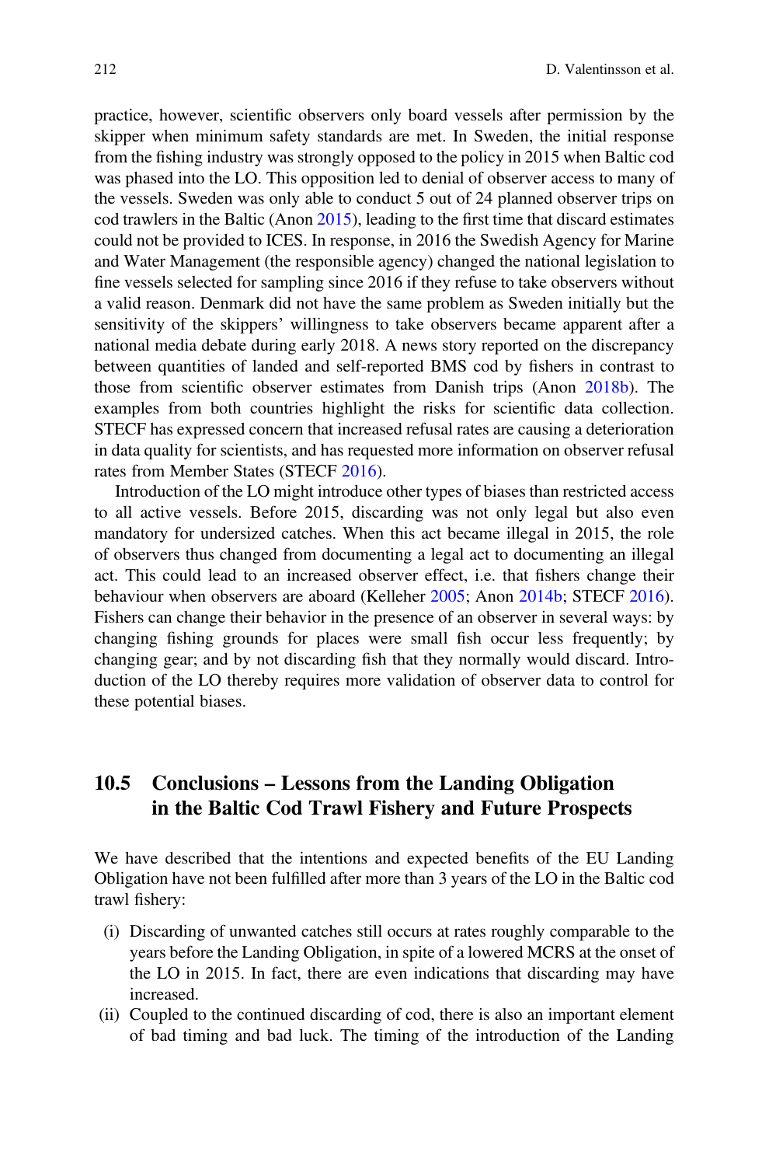practice, however, scientific observers only board vessels after permission by the skipper when minimum safety standards are met. In Sweden, the initial response from the fishing industry was strongly opposed to the policy in 2015 when Baltic cod was phased into the LO. This opposition led to denial of observer access to many of the vessels. Sweden was only able to conduct 5 out of 24 planned observer trips on cod trawlers in the Baltic (Anon [2015](#page-19-13)), leading to the first time that discard estimates could not be provided to ICES. In response, in 2016 the Swedish Agency for Marine and Water Management (the responsible agency) changed the national legislation to fine vessels selected for sampling since 2016 if they refuse to take observers without a valid reason. Denmark did not have the same problem as Sweden initially but the sensitivity of the skippers' willingness to take observers became apparent after a national media debate during early 2018. A news story reported on the discrepancy between quantities of landed and self-reported BMS cod by fishers in contrast to those from scientific observer estimates from Danish trips (Anon [2018b](#page-19-14)). The examples from both countries highlight the risks for scientific data collection. STECF has expressed concern that increased refusal rates are causing a deterioration in data quality for scientists, and has requested more information on observer refusal rates from Member States (STECF [2016](#page-22-12)).

Introduction of the LO might introduce other types of biases than restricted access to all active vessels. Before 2015, discarding was not only legal but also even mandatory for undersized catches. When this act became illegal in 2015, the role of observers thus changed from documenting a legal act to documenting an illegal act. This could lead to an increased observer effect, i.e. that fishers change their behaviour when observers are aboard (Kelleher [2005](#page-20-8); Anon [2014b;](#page-19-12) STECF [2016\)](#page-22-12). Fishers can change their behavior in the presence of an observer in several ways: by changing fishing grounds for places were small fish occur less frequently; by changing gear; and by not discarding fish that they normally would discard. Introduction of the LO thereby requires more validation of observer data to control for these potential biases.

# 10.5 Conclusions – Lessons from the Landing Obligation in the Baltic Cod Trawl Fishery and Future Prospects

We have described that the intentions and expected benefits of the EU Landing Obligation have not been fulfilled after more than 3 years of the LO in the Baltic cod trawl fishery:

- (i) Discarding of unwanted catches still occurs at rates roughly comparable to the years before the Landing Obligation, in spite of a lowered MCRS at the onset of the LO in 2015. In fact, there are even indications that discarding may have increased.
- (ii) Coupled to the continued discarding of cod, there is also an important element of bad timing and bad luck. The timing of the introduction of the Landing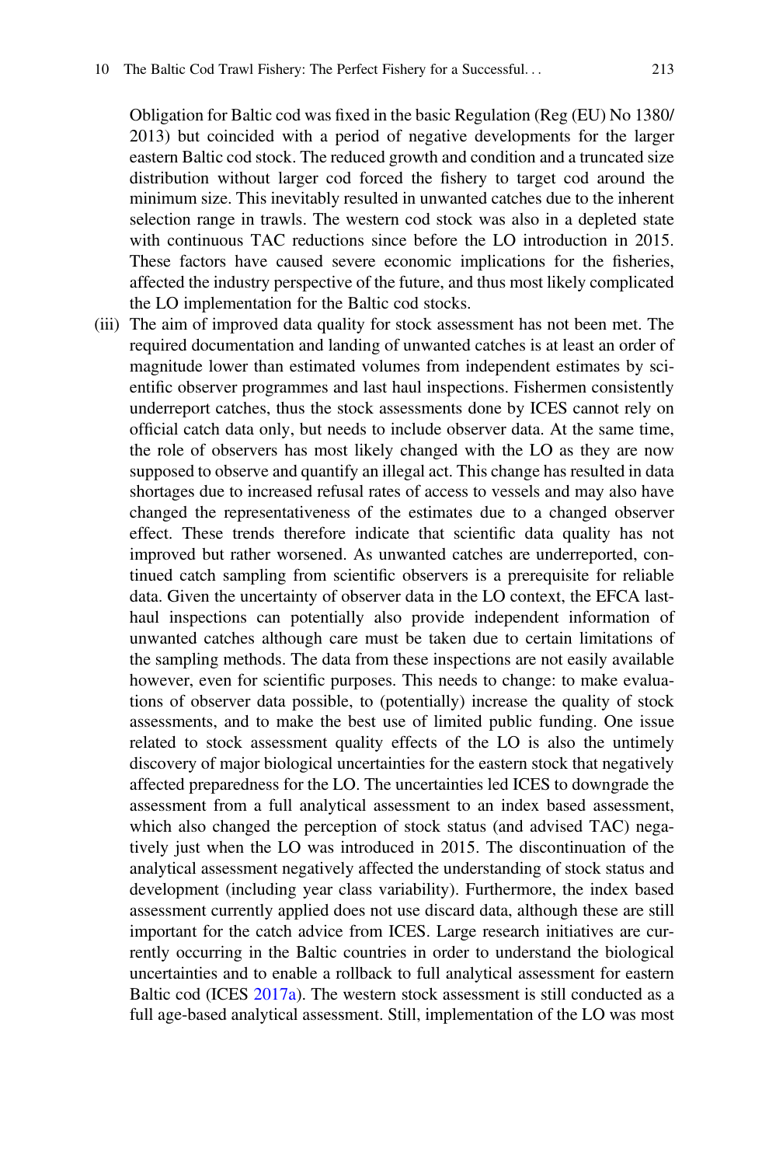Obligation for Baltic cod was fixed in the basic Regulation (Reg (EU) No 1380/ 2013) but coincided with a period of negative developments for the larger eastern Baltic cod stock. The reduced growth and condition and a truncated size distribution without larger cod forced the fishery to target cod around the minimum size. This inevitably resulted in unwanted catches due to the inherent selection range in trawls. The western cod stock was also in a depleted state with continuous TAC reductions since before the LO introduction in 2015. These factors have caused severe economic implications for the fisheries, affected the industry perspective of the future, and thus most likely complicated the LO implementation for the Baltic cod stocks.

(iii) The aim of improved data quality for stock assessment has not been met. The required documentation and landing of unwanted catches is at least an order of magnitude lower than estimated volumes from independent estimates by scientific observer programmes and last haul inspections. Fishermen consistently underreport catches, thus the stock assessments done by ICES cannot rely on official catch data only, but needs to include observer data. At the same time, the role of observers has most likely changed with the LO as they are now supposed to observe and quantify an illegal act. This change has resulted in data shortages due to increased refusal rates of access to vessels and may also have changed the representativeness of the estimates due to a changed observer effect. These trends therefore indicate that scientific data quality has not improved but rather worsened. As unwanted catches are underreported, continued catch sampling from scientific observers is a prerequisite for reliable data. Given the uncertainty of observer data in the LO context, the EFCA lasthaul inspections can potentially also provide independent information of unwanted catches although care must be taken due to certain limitations of the sampling methods. The data from these inspections are not easily available however, even for scientific purposes. This needs to change: to make evaluations of observer data possible, to (potentially) increase the quality of stock assessments, and to make the best use of limited public funding. One issue related to stock assessment quality effects of the LO is also the untimely discovery of major biological uncertainties for the eastern stock that negatively affected preparedness for the LO. The uncertainties led ICES to downgrade the assessment from a full analytical assessment to an index based assessment, which also changed the perception of stock status (and advised TAC) negatively just when the LO was introduced in 2015. The discontinuation of the analytical assessment negatively affected the understanding of stock status and development (including year class variability). Furthermore, the index based assessment currently applied does not use discard data, although these are still important for the catch advice from ICES. Large research initiatives are currently occurring in the Baltic countries in order to understand the biological uncertainties and to enable a rollback to full analytical assessment for eastern Baltic cod (ICES [2017a](#page-20-3)). The western stock assessment is still conducted as a full age-based analytical assessment. Still, implementation of the LO was most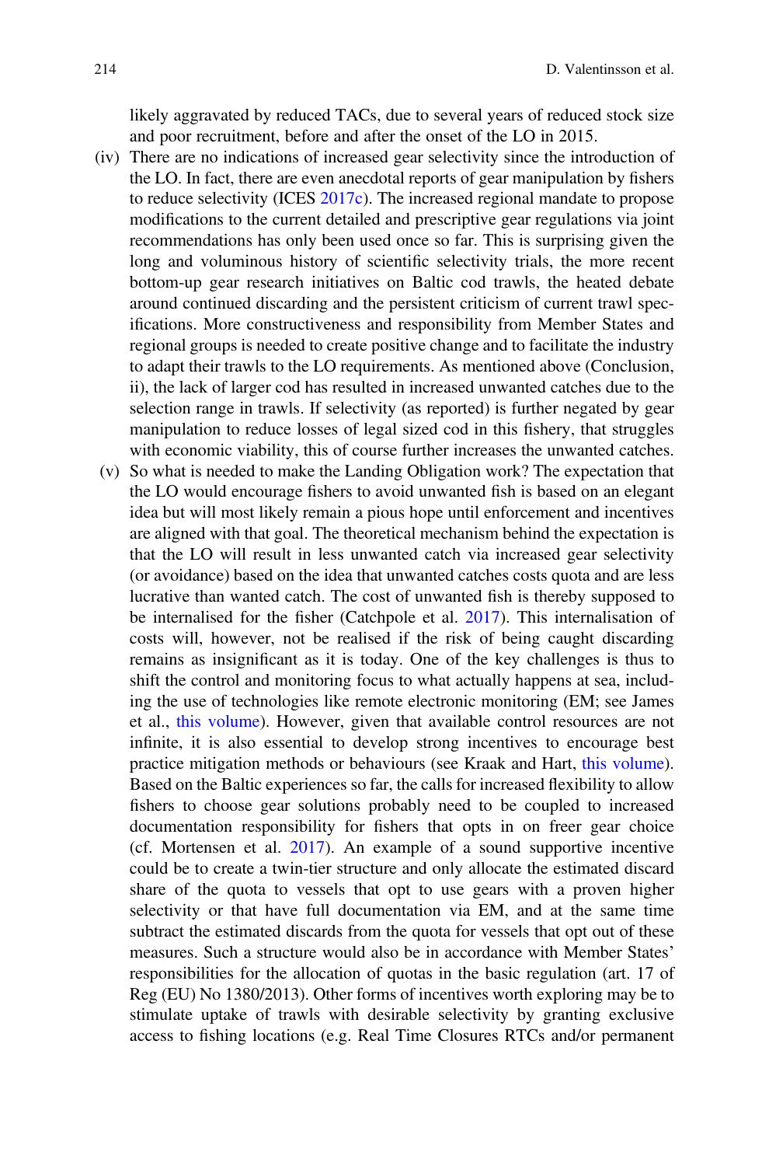likely aggravated by reduced TACs, due to several years of reduced stock size and poor recruitment, before and after the onset of the LO in 2015.

- (iv) There are no indications of increased gear selectivity since the introduction of the LO. In fact, there are even anecdotal reports of gear manipulation by fishers to reduce selectivity (ICES [2017c](#page-20-7)). The increased regional mandate to propose modifications to the current detailed and prescriptive gear regulations via joint recommendations has only been used once so far. This is surprising given the long and voluminous history of scientific selectivity trials, the more recent bottom-up gear research initiatives on Baltic cod trawls, the heated debate around continued discarding and the persistent criticism of current trawl specifications. More constructiveness and responsibility from Member States and regional groups is needed to create positive change and to facilitate the industry to adapt their trawls to the LO requirements. As mentioned above (Conclusion, ii), the lack of larger cod has resulted in increased unwanted catches due to the selection range in trawls. If selectivity (as reported) is further negated by gear manipulation to reduce losses of legal sized cod in this fishery, that struggles with economic viability, this of course further increases the unwanted catches.
- (v) So what is needed to make the Landing Obligation work? The expectation that the LO would encourage fishers to avoid unwanted fish is based on an elegant idea but will most likely remain a pious hope until enforcement and incentives are aligned with that goal. The theoretical mechanism behind the expectation is that the LO will result in less unwanted catch via increased gear selectivity (or avoidance) based on the idea that unwanted catches costs quota and are less lucrative than wanted catch. The cost of unwanted fish is thereby supposed to be internalised for the fisher (Catchpole et al. [2017\)](#page-19-15). This internalisation of costs will, however, not be realised if the risk of being caught discarding remains as insignificant as it is today. One of the key challenges is thus to shift the control and monitoring focus to what actually happens at sea, including the use of technologies like remote electronic monitoring (EM; see James et al., [this volume\)](#page-20-17). However, given that available control resources are not infinite, it is also essential to develop strong incentives to encourage best practice mitigation methods or behaviours (see Kraak and Hart, [this volume\)](#page-20-18). Based on the Baltic experiences so far, the calls for increased flexibility to allow fishers to choose gear solutions probably need to be coupled to increased documentation responsibility for fishers that opts in on freer gear choice (cf. Mortensen et al. [2017\)](#page-21-11). An example of a sound supportive incentive could be to create a twin-tier structure and only allocate the estimated discard share of the quota to vessels that opt to use gears with a proven higher selectivity or that have full documentation via EM, and at the same time subtract the estimated discards from the quota for vessels that opt out of these measures. Such a structure would also be in accordance with Member States' responsibilities for the allocation of quotas in the basic regulation (art. 17 of Reg (EU) No 1380/2013). Other forms of incentives worth exploring may be to stimulate uptake of trawls with desirable selectivity by granting exclusive access to fishing locations (e.g. Real Time Closures RTCs and/or permanent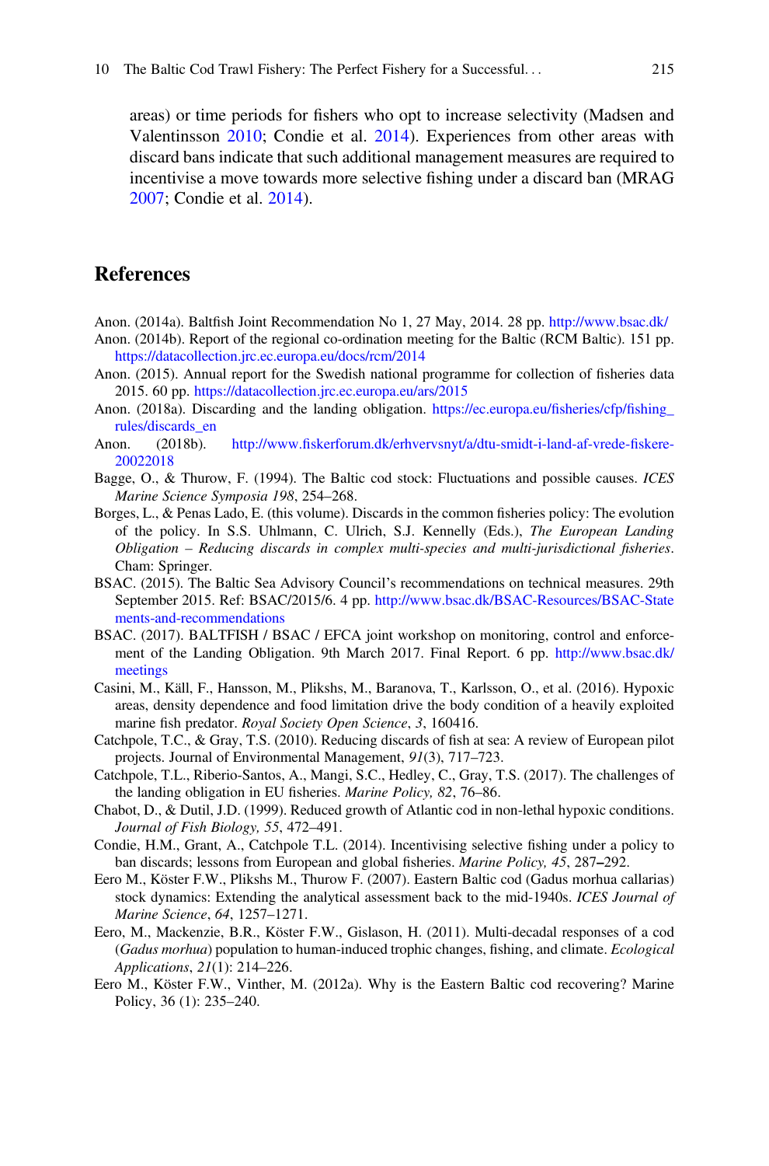areas) or time periods for fishers who opt to increase selectivity (Madsen and Valentinsson [2010;](#page-21-17) Condie et al. [2014](#page-19-16)). Experiences from other areas with discard bans indicate that such additional management measures are required to incentivise a move towards more selective fishing under a discard ban (MRAG [2007](#page-21-18); Condie et al. [2014](#page-19-16)).

## **References**

<span id="page-19-12"></span><span id="page-19-9"></span>Anon. (2014a). Baltfish Joint Recommendation No 1, 27 May, 2014. 28 pp. <http://www.bsac.dk/> Anon. (2014b). Report of the regional co-ordination meeting for the Baltic (RCM Baltic). 151 pp.

<https://datacollection.jrc.ec.europa.eu/docs/rcm/2014>

- <span id="page-19-13"></span>Anon. (2015). Annual report for the Swedish national programme for collection of fisheries data 2015. 60 pp. <https://datacollection.jrc.ec.europa.eu/ars/2015>
- <span id="page-19-0"></span>Anon. (2018a). Discarding and the landing obligation. [https://ec.europa.eu/](https://ec.europa.eu/fisheries/cfp/fishing_rules/discards_en)fisheries/cfp/fishing\_ [rules/discards\\_en](https://ec.europa.eu/fisheries/cfp/fishing_rules/discards_en)
- <span id="page-19-14"></span><span id="page-19-1"></span>Anon. (2018b). http://www.fi[skerforum.dk/erhvervsnyt/a/dtu-smidt-i-land-af-vrede-](http://www.fiskerforum.dk/erhvervsnyt/a/dtu-smidt-i-land-af-vrede-fiskere-20022018)fiskere-[20022018](http://www.fiskerforum.dk/erhvervsnyt/a/dtu-smidt-i-land-af-vrede-fiskere-20022018)
- Bagge, O., & Thurow, F. (1994). The Baltic cod stock: Fluctuations and possible causes. ICES Marine Science Symposia 198, 254–268.
- <span id="page-19-7"></span>Borges, L., & Penas Lado, E. (this volume). Discards in the common fisheries policy: The evolution of the policy. In S.S. Uhlmann, C. Ulrich, S.J. Kennelly (Eds.), The European Landing Obligation – Reducing discards in complex multi-species and multi-jurisdictional fisheries. Cham: Springer.
- <span id="page-19-11"></span>BSAC. (2015). The Baltic Sea Advisory Council's recommendations on technical measures. 29th September 2015. Ref: BSAC/2015/6. 4 pp. [http://www.bsac.dk/BSAC-Resources/BSAC-State](http://www.bsac.dk/BSAC-Resources/BSAC-Statements-and-recommendations) [ments-and-recommendations](http://www.bsac.dk/BSAC-Resources/BSAC-Statements-and-recommendations)
- <span id="page-19-10"></span>BSAC. (2017). BALTFISH / BSAC / EFCA joint workshop on monitoring, control and enforcement of the Landing Obligation. 9th March 2017. Final Report. 6 pp. [http://www.bsac.dk/](http://www.bsac.dk/meetings) [meetings](http://www.bsac.dk/meetings)
- <span id="page-19-6"></span>Casini, M., Käll, F., Hansson, M., Plikshs, M., Baranova, T., Karlsson, O., et al. (2016). Hypoxic areas, density dependence and food limitation drive the body condition of a heavily exploited marine fish predator. Royal Society Open Science, 3, 160416.
- <span id="page-19-15"></span><span id="page-19-8"></span>Catchpole, T.C., & Gray, T.S. (2010). Reducing discards of fish at sea: A review of European pilot projects. Journal of Environmental Management, 91(3), 717–723.
- <span id="page-19-5"></span>Catchpole, T.L., Riberio-Santos, A., Mangi, S.C., Hedley, C., Gray, T.S. (2017). The challenges of the landing obligation in EU fisheries. Marine Policy, 82, 76–86.
- Chabot, D., & Dutil, J.D. (1999). Reduced growth of Atlantic cod in non-lethal hypoxic conditions. Journal of Fish Biology, 55, 472–491.
- <span id="page-19-16"></span><span id="page-19-2"></span>Condie, H.M., Grant, A., Catchpole T.L. (2014). Incentivising selective fishing under a policy to ban discards; lessons from European and global fisheries. Marine Policy, 45, 287–292.
- Eero M., Köster F.W., Plikshs M., Thurow F. (2007). Eastern Baltic cod (Gadus morhua callarias) stock dynamics: Extending the analytical assessment back to the mid-1940s. ICES Journal of Marine Science, 64, 1257–1271.
- <span id="page-19-3"></span>Eero, M., Mackenzie, B.R., Köster F.W., Gislason, H. (2011). Multi-decadal responses of a cod (Gadus morhua) population to human-induced trophic changes, fishing, and climate. Ecological Applications, 21(1): 214–226.
- <span id="page-19-4"></span>Eero M., Köster F.W., Vinther, M. (2012a). Why is the Eastern Baltic cod recovering? Marine Policy, 36 (1): 235–240.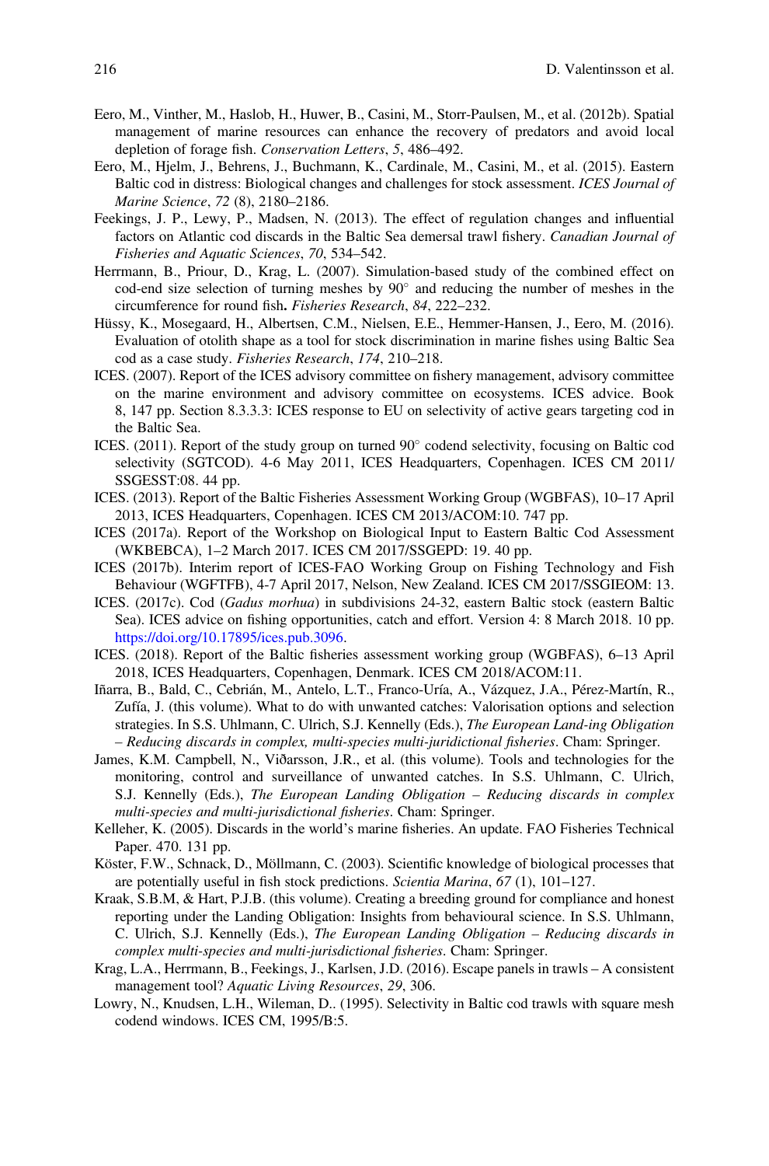- <span id="page-20-4"></span>Eero, M., Vinther, M., Haslob, H., Huwer, B., Casini, M., Storr-Paulsen, M., et al. (2012b). Spatial management of marine resources can enhance the recovery of predators and avoid local depletion of forage fish. Conservation Letters, 5, 486–492.
- <span id="page-20-5"></span>Eero, M., Hjelm, J., Behrens, J., Buchmann, K., Cardinale, M., Casini, M., et al. (2015). Eastern Baltic cod in distress: Biological changes and challenges for stock assessment. ICES Journal of Marine Science, 72 (8), 2180–2186.
- <span id="page-20-14"></span>Feekings, J. P., Lewy, P., Madsen, N. (2013). The effect of regulation changes and influential factors on Atlantic cod discards in the Baltic Sea demersal trawl fishery. Canadian Journal of Fisheries and Aquatic Sciences, 70, 534–542.
- <span id="page-20-11"></span>Herrmann, B., Priour, D., Krag, L. (2007). Simulation-based study of the combined effect on cod-end size selection of turning meshes by  $90^{\circ}$  and reducing the number of meshes in the circumference for round fish. Fisheries Research, 84, 222–232.
- <span id="page-20-0"></span>Hüssy, K., Mosegaard, H., Albertsen, C.M., Nielsen, E.E., Hemmer-Hansen, J., Eero, M. (2016). Evaluation of otolith shape as a tool for stock discrimination in marine fishes using Baltic Sea cod as a case study. Fisheries Research, 174, 210–218.
- <span id="page-20-15"></span>ICES. (2007). Report of the ICES advisory committee on fishery management, advisory committee on the marine environment and advisory committee on ecosystems. ICES advice. Book 8, 147 pp. Section 8.3.3.3: ICES response to EU on selectivity of active gears targeting cod in the Baltic Sea.
- <span id="page-20-10"></span>ICES. (2011). Report of the study group on turned  $90^\circ$  codend selectivity, focusing on Baltic cod selectivity (SGTCOD). 4-6 May 2011, ICES Headquarters, Copenhagen. ICES CM 2011/ SSGESST:08. 44 pp.
- <span id="page-20-2"></span>ICES. (2013). Report of the Baltic Fisheries Assessment Working Group (WGBFAS), 10–17 April 2013, ICES Headquarters, Copenhagen. ICES CM 2013/ACOM:10. 747 pp.
- <span id="page-20-3"></span>ICES (2017a). Report of the Workshop on Biological Input to Eastern Baltic Cod Assessment (WKBEBCA), 1–2 March 2017. ICES CM 2017/SSGEPD: 19. 40 pp.
- <span id="page-20-12"></span>ICES (2017b). Interim report of ICES-FAO Working Group on Fishing Technology and Fish Behaviour (WGFTFB), 4-7 April 2017, Nelson, New Zealand. ICES CM 2017/SSGIEOM: 13.
- <span id="page-20-7"></span>ICES. (2017c). Cod (Gadus morhua) in subdivisions 24-32, eastern Baltic stock (eastern Baltic Sea). ICES advice on fishing opportunities, catch and effort. Version 4: 8 March 2018. 10 pp. <https://doi.org/10.17895/ices.pub.3096>.
- <span id="page-20-6"></span>ICES. (2018). Report of the Baltic fisheries assessment working group (WGBFAS), 6–13 April 2018, ICES Headquarters, Copenhagen, Denmark. ICES CM 2018/ACOM:11.
- <span id="page-20-16"></span>Iñarra, B., Bald, C., Cebrián, M., Antelo, L.T., Franco-Uría, A., Vázquez, J.A., Pérez-Martín, R., Zufía, J. (this volume). What to do with unwanted catches: Valorisation options and selection strategies. In S.S. Uhlmann, C. Ulrich, S.J. Kennelly (Eds.), *The European Land-ing Obligation* – Reducing discards in complex, multi-species multi-juridictional fisheries. Cham: Springer.
- <span id="page-20-17"></span>James, K.M. Campbell, N., Viðarsson, J.R., et al. (this volume). Tools and technologies for the monitoring, control and surveillance of unwanted catches. In S.S. Uhlmann, C. Ulrich, S.J. Kennelly (Eds.), The European Landing Obligation - Reducing discards in complex multi-species and multi-jurisdictional fisheries. Cham: Springer.
- <span id="page-20-8"></span>Kelleher, K. (2005). Discards in the world's marine fisheries. An update. FAO Fisheries Technical Paper. 470. 131 pp.
- <span id="page-20-1"></span>Köster, F.W., Schnack, D., Möllmann, C. (2003). Scientific knowledge of biological processes that are potentially useful in fish stock predictions. Scientia Marina, 67 (1), 101–127.
- <span id="page-20-18"></span>Kraak, S.B.M, & Hart, P.J.B. (this volume). Creating a breeding ground for compliance and honest reporting under the Landing Obligation: Insights from behavioural science. In S.S. Uhlmann, C. Ulrich, S.J. Kennelly (Eds.), The European Landing Obligation – Reducing discards in complex multi-species and multi-jurisdictional fisheries. Cham: Springer.
- <span id="page-20-13"></span>Krag, L.A., Herrmann, B., Feekings, J., Karlsen, J.D. (2016). Escape panels in trawls – A consistent management tool? Aquatic Living Resources, 29, 306.
- <span id="page-20-9"></span>Lowry, N., Knudsen, L.H., Wileman, D.. (1995). Selectivity in Baltic cod trawls with square mesh codend windows. ICES CM, 1995/B:5.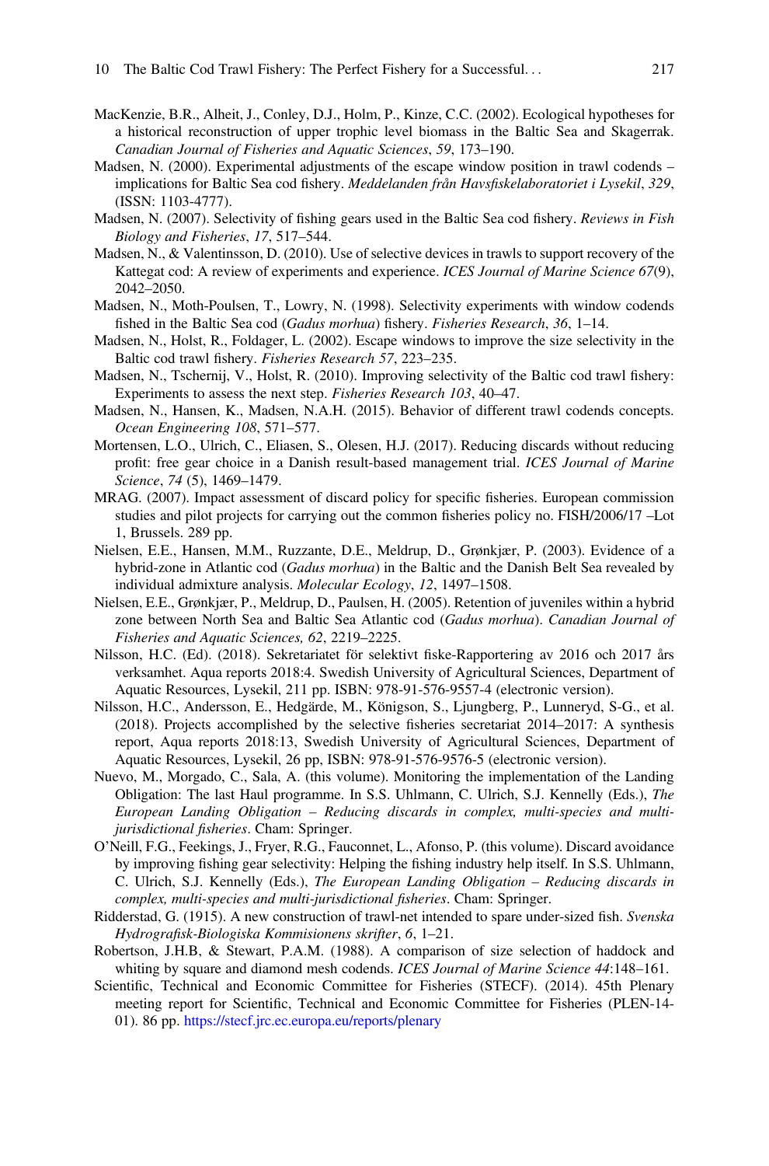- <span id="page-21-2"></span>MacKenzie, B.R., Alheit, J., Conley, D.J., Holm, P., Kinze, C.C. (2002). Ecological hypotheses for a historical reconstruction of upper trophic level biomass in the Baltic Sea and Skagerrak. Canadian Journal of Fisheries and Aquatic Sciences, 59, 173–190.
- <span id="page-21-7"></span>Madsen, N. (2000). Experimental adjustments of the escape window position in trawl codends – implications for Baltic Sea cod fishery. Meddelanden från Havsfiskelaboratoriet i Lysekil, 329, (ISSN: 1103-4777).
- <span id="page-21-4"></span>Madsen, N. (2007). Selectivity of fishing gears used in the Baltic Sea cod fishery. Reviews in Fish Biology and Fisheries, 17, 517–544.
- <span id="page-21-17"></span>Madsen, N., & Valentinsson, D. (2010). Use of selective devices in trawls to support recovery of the Kattegat cod: A review of experiments and experience. *ICES Journal of Marine Science 67(9)*, 2042–2050.
- <span id="page-21-6"></span>Madsen, N., Moth-Poulsen, T., Lowry, N. (1998). Selectivity experiments with window codends fished in the Baltic Sea cod (Gadus morhua) fishery. Fisheries Research, 36, 1-14.
- <span id="page-21-8"></span>Madsen, N., Holst, R., Foldager, L. (2002). Escape windows to improve the size selectivity in the Baltic cod trawl fishery. Fisheries Research 57, 223–235.
- <span id="page-21-14"></span>Madsen, N., Tschernij, V., Holst, R. (2010). Improving selectivity of the Baltic cod trawl fishery: Experiments to assess the next step. Fisheries Research 103, 40–47.
- <span id="page-21-10"></span>Madsen, N., Hansen, K., Madsen, N.A.H. (2015). Behavior of different trawl codends concepts. Ocean Engineering 108, 571–577.
- <span id="page-21-11"></span>Mortensen, L.O., Ulrich, C., Eliasen, S., Olesen, H.J. (2017). Reducing discards without reducing profit: free gear choice in a Danish result-based management trial. ICES Journal of Marine Science, 74 (5), 1469-1479.
- <span id="page-21-18"></span>MRAG. (2007). Impact assessment of discard policy for specific fisheries. European commission studies and pilot projects for carrying out the common fisheries policy no. FISH/2006/17 –Lot 1, Brussels. 289 pp.
- <span id="page-21-0"></span>Nielsen, E.E., Hansen, M.M., Ruzzante, D.E., Meldrup, D., Grønkjær, P. (2003). Evidence of a hybrid-zone in Atlantic cod (*Gadus morhua*) in the Baltic and the Danish Belt Sea revealed by individual admixture analysis. Molecular Ecology, 12, 1497–1508.
- <span id="page-21-1"></span>Nielsen, E.E., Grønkjær, P., Meldrup, D., Paulsen, H. (2005). Retention of juveniles within a hybrid zone between North Sea and Baltic Sea Atlantic cod (Gadus morhua). Canadian Journal of Fisheries and Aquatic Sciences, 62, 2219–2225.
- <span id="page-21-13"></span>Nilsson, H.C. (Ed). (2018). Sekretariatet för selektivt fiske-Rapportering av 2016 och 2017 års verksamhet. Aqua reports 2018:4. Swedish University of Agricultural Sciences, Department of Aquatic Resources, Lysekil, 211 pp. ISBN: 978-91-576-9557-4 (electronic version).
- <span id="page-21-12"></span>Nilsson, H.C., Andersson, E., Hedgärde, M., Königson, S., Ljungberg, P., Lunneryd, S-G., et al. (2018). Projects accomplished by the selective fisheries secretariat 2014–2017: A synthesis report, Aqua reports 2018:13, Swedish University of Agricultural Sciences, Department of Aquatic Resources, Lysekil, 26 pp, ISBN: 978-91-576-9576-5 (electronic version).
- <span id="page-21-16"></span>Nuevo, M., Morgado, C., Sala, A. (this volume). Monitoring the implementation of the Landing Obligation: The last Haul programme. In S.S. Uhlmann, C. Ulrich, S.J. Kennelly (Eds.), The European Landing Obligation – Reducing discards in complex, multi-species and multijurisdictional fisheries. Cham: Springer.
- <span id="page-21-9"></span>O'Neill, F.G., Feekings, J., Fryer, R.G., Fauconnet, L., Afonso, P. (this volume). Discard avoidance by improving fishing gear selectivity: Helping the fishing industry help itself. In S.S. Uhlmann, C. Ulrich, S.J. Kennelly (Eds.), The European Landing Obligation – Reducing discards in complex, multi-species and multi-jurisdictional fisheries. Cham: Springer.
- <span id="page-21-3"></span>Ridderstad, G. (1915). A new construction of trawl-net intended to spare under-sized fish. Svenska Hydrografisk-Biologiska Kommisionens skrifter, 6, 1–21.
- <span id="page-21-5"></span>Robertson, J.H.B, & Stewart, P.A.M. (1988). A comparison of size selection of haddock and whiting by square and diamond mesh codends. ICES Journal of Marine Science 44:148-161.
- <span id="page-21-15"></span>Scientific, Technical and Economic Committee for Fisheries (STECF). (2014). 45th Plenary meeting report for Scientific, Technical and Economic Committee for Fisheries (PLEN-14- 01). 86 pp. <https://stecf.jrc.ec.europa.eu/reports/plenary>